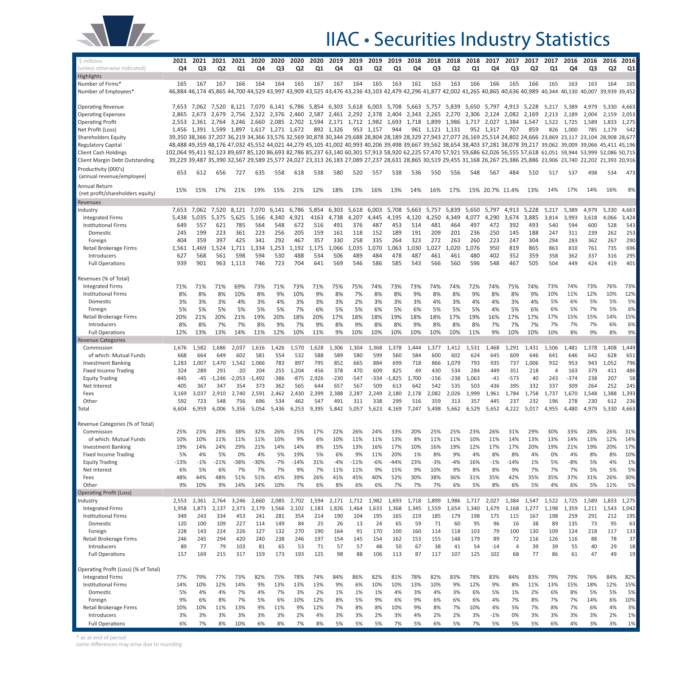

## IIAC • Securities Industry Statistics

| Highlights<br>166<br>164<br>164<br>165<br>167<br>164<br>165<br>163<br>161<br>163<br>163<br>166<br>166<br>165<br>165<br>Number of Firms*<br>165<br>167<br>167<br>167<br>166<br>165<br>163<br>163<br>164<br>46,884 46,174 45,865 44,700 44,529 43,997 43,909 43,525 43,476 43,236 43,103 42,479 42,296 41,877 42,002 41,265 40,865 40,636 40,989<br>40,130 40,007 39,939 39,452<br>Number of Employees*<br>40,344<br>7,062 7,520 8,121 7,070 6,141 6,786 5,854 6,303 5,618 6,003 5,708 5,663 5,757 5,839 5,650 5,797 4,913<br>5,330<br>4,663<br><b>Operating Revenue</b><br>7,653<br>5,228<br>5,217<br>5,389<br>4,979<br>2,865 2,673 2,679 2,756 2,522 2,376<br>2,460 2,587 2,461 2,292 2,378 2,404 2,343 2,265 2,270 2,306 2,124 2,082 2,169<br>2,189<br>2,004<br>2,159<br>2,053<br><b>Operating Expenses</b><br>2,213<br><b>Operating Profit</b><br>2,553 2,361 2,764 3,246 2,660 2,085 2,702 1,594 2,171 1,712 1,982 1,693 1,718 1,899 1,986 1,717 2,027 1,384 1,547<br>1,522 1,725<br>1,589<br>1,833<br>1,275<br>944<br>961 1,121 1,131<br>952 1,317<br>Net Profit (Loss)<br>1,456 1,391 1,599 1,897 1,617 1,271 1,672<br>892 1,326<br>953 1,157<br>707<br>859<br>826 1,000<br>785<br>1,179<br>542<br>39,350 38,366 37,207 36,219 34,366 33,576 32,569 30,878 30,344 29,688 28,804 28,189 28,329 27,943 27,077 26,169 25,514 24,802 24,666 23,869 23,117 23,104 28,908 28,677<br><b>Shareholders Equity</b><br><b>Regulatory Capital</b><br>102,064 95,411 92,123 89,697 85,120 86,693 82,786 85,237 63,140 60,301 57,913 58,920 62,225 57,470 57,921 59,686 62,026 56,555 57,618 61,051 59,944 53,999 52,086 50,715<br>Client Cash Holdings<br>Client Margin Debt Outstanding<br>Productivity (000's)<br>534<br>473<br>653<br>656<br>635<br>558<br>538<br>580<br>520<br>538<br>536<br>556<br>548<br>567<br>484<br>510<br>517<br>537<br>498<br>612<br>727<br>618<br>557<br>550<br>(annual revenue/employee)<br>Annual Return<br>8%<br>16%<br>15% 20.7% 11.4%<br>14%<br>17%<br>14%<br>16%<br>15%<br>17%<br>21%<br>19%<br>15%<br>21%<br>12%<br>18%<br>13%<br>13%<br>14%<br>16%<br>17%<br>13%<br>15%<br>(net profit/shareholders equity)<br>Revenues<br>5,217<br>5,389<br>4,979<br>5,330<br>4,663<br>Industry<br>7,062<br>7,520<br>8,121<br>7,070<br>6,141<br>6,786<br>5,854<br>6,303<br>5,618<br>6,003<br>5,708<br>5,663<br>5,757<br>5,839<br>5,650<br>5,797<br>4,913<br>5,228<br>7,653<br><b>Integrated Firms</b><br>5,438<br>5,035<br>4,195<br>4,290<br>3,885<br>3,814<br>3,993<br>3,618<br>4,066<br>3,424<br>5,375<br>5,625<br>5,166<br>4,340<br>4,921<br>4163<br>4,738<br>4,207<br>4,445<br>4,120<br>4,250<br>4,349<br>4,077<br>3,674<br>497<br>392<br>493<br>540<br>600<br>528<br>543<br><b>Institutional Firms</b><br>649<br>557<br>621<br>785<br>564<br>548<br>672<br>516<br>491<br>376<br>487<br>453<br>514<br>481<br>464<br>472<br>594<br>223<br>361<br>223<br>256<br>205<br>189<br>191<br>209<br>201<br>236<br>250<br>145<br>188<br>247<br>311<br>239<br>262<br>Domestic<br>245<br>199<br>159<br>161<br>118<br>152<br>404<br>397<br>425<br>292<br>357<br>330<br>258<br>335<br>264<br>323<br>272<br>263<br>260<br>223<br>247<br>304<br>294<br>283<br>362<br>267<br>Foreign<br>359<br>341<br>467<br>735<br>Retail Brokerage Firms<br>1,253<br>1,192<br>1,066<br>1,035<br>1,030<br>1,027<br>1,020<br>1,076<br>950<br>819<br>865<br>863<br>810<br>761<br>1,561<br>1,469<br>1,524<br>1,711<br>1,334<br>1,175<br>1,070<br>1,063<br>Introducers<br>627<br>530<br>488<br>506<br>489<br>484<br>487<br>480<br>352<br>358<br>362<br>337<br>316<br>568<br>561<br>598<br>594<br>534<br>478<br>461<br>461<br>402<br>359<br>401<br>939<br>901<br>723<br>704<br>569<br>585<br>596<br>467<br>505<br>504<br>449<br>424<br>419<br><b>Full Operations</b><br>963<br>1,113<br>746<br>641<br>546<br>586<br>543<br>566<br>560<br>548<br>Revenues (% of Total)<br>71%<br>71%<br>74%<br>73%<br>73%<br>72%<br>75%<br>73%<br>74%<br>73%<br>76%<br>73%<br><b>Integrated Firms</b><br>71%<br>71%<br>71%<br>69%<br>73%<br>73%<br>75%<br>75%<br>74%<br>74%<br>74%<br>74%<br>12%<br>8%<br>8%<br>8%<br>10%<br>8%<br>9%<br>10%<br>9%<br>8%<br>7%<br>8%<br>8%<br>9%<br>8%<br>8%<br>9%<br>8%<br>8%<br>9%<br>10%<br>11%<br>12%<br>10%<br><b>Institutional Firms</b><br>5%<br>3%<br>3%<br>4%<br>3%<br>4%<br>3%<br>3%<br>2%<br>3%<br>3%<br>3%<br>4%<br>3%<br>4%<br>3%<br>4%<br>5%<br>6%<br>5%<br>5%<br>Domestic<br>3%<br>3%<br>4%<br>6%<br>Foreign<br>5%<br>5%<br>5%<br>5%<br>6%<br>5%<br>5%<br>6%<br>5%<br>6%<br>5%<br>5%<br>5%<br>5%<br>6%<br>6%<br>5%<br>7%<br>5%<br>5%<br>5%<br>7%<br>4%<br>15%<br>Retail Brokerage Firms<br>20%<br>20%<br>21%<br>19%<br>20%<br>18%<br>20%<br>17%<br>18%<br>18%<br>19%<br>18%<br>18%<br>17%<br>19%<br>17%<br>17%<br>15%<br>15%<br>14%<br>21%<br>16%<br>17%<br>6%<br>Introducers<br>8%<br>8%<br>7%<br>7%<br>8%<br>9%<br>7%<br>9%<br>8%<br>9%<br>8%<br>8%<br>9%<br>8%<br>8%<br>8%<br>7%<br>7%<br>7%<br>7%<br>7%<br>6%<br>7%<br>9%<br><b>Full Operations</b><br>12%<br>13%<br>14%<br>11%<br>12%<br>10%<br>9%<br>10%<br>10%<br>10%<br>10%<br>10%<br>10%<br>11%<br>9%<br>10%<br>10%<br>10%<br>8%<br>9%<br>8%<br>13%<br>11%<br><b>Revenue Categories</b><br>1,582<br>1,686<br>2,037<br>1,616<br>1,426<br>1,570<br>1,628<br>1,306<br>1,304<br>1,368<br>1,378<br>1,444<br>1,377<br>1,412<br>1,531<br>1,468<br>1,291<br>1,431<br>1,506<br>1,481<br>1,378<br>1,408<br>1,449<br>Commission<br>1,676<br>651<br>of which: Mutual Funds<br>668<br>664<br>649<br>602<br>581<br>554<br>532<br>588<br>589<br>580<br>599<br>560<br>584<br>600<br>602<br>624<br>645<br>609<br>646<br>641<br>646<br>642<br>628<br>1,007<br>1,470<br>1,542<br>1,066<br>783<br>897<br>795<br>852<br>665<br>884<br>699<br>718<br>1,079<br>793<br>935<br>737<br>1,006<br>932<br>953<br>943<br>1,052<br>796<br><b>Investment Banking</b><br>1,283<br>866<br><b>Fixed Income Trading</b><br>324<br>289<br>291<br>$-20$<br>204<br>255<br>1,204<br>456<br>378<br>470<br>609<br>825<br>49<br>430<br>534<br>284<br>449<br>351<br>218<br>163<br>379<br>411<br>4<br>58<br>$-845$<br>$-1,246$<br>$-2,053$<br>$-1,492$<br>-386<br>$-875$<br>2,926<br>$-230$<br>$-547$<br>$-1,825$<br>1,700<br>$-238$<br>1,063<br>-573<br>40<br>243<br>$-374$<br>238<br>207<br><b>Equity Trading</b><br>-45<br>-334<br>-156<br>$-41$<br>252<br>245<br>405<br>373<br>362<br>565<br>644<br>657<br>567<br>509<br>613<br>642<br>542<br>535<br>503<br>436<br>395<br>332<br>337<br>309<br>264<br>Net Interest<br>367<br>347<br>354<br>1,388<br>1,393<br>2,591<br>2,462<br>2,430<br>2,399<br>2,388<br>2,287<br>2,180<br>2,178<br>2,082<br>2,026<br>1,999<br>1,961<br>1,784<br>1,758<br>1,670<br>1,548<br>Fees<br>3,169<br>3,037<br>2,910<br>2,740<br>2,249<br>1,737<br>Other<br>592<br>723<br>548<br>756<br>696<br>534<br>462<br>491<br>311<br>338<br>299<br>516<br>359<br>313<br>357<br>237<br>232<br>196<br>278<br>230<br>612<br>547<br>445<br>4,663<br>6,604<br>6,959<br>6,006<br>5,436<br>6,253<br>9,395<br>5,842<br>5,057<br>5,498<br>5,662<br>6,529<br>5,652<br>4,222<br>5,017<br>4,955<br>4,480<br>4,979<br>5,330<br>Total<br>5,356<br>5,054<br>5,623<br>4,169<br>7,247<br>Revenue Categories (% of Total)<br>Commission<br>25%<br>26%<br>31%<br>23%<br>28%<br>38%<br>32%<br>26%<br>25%<br>17%<br>22%<br>26%<br>24%<br>33%<br>20%<br>25%<br>25%<br>23%<br>26%<br>31%<br>29%<br>30%<br>33%<br>28%<br>of which: Mutual Funds<br>10%<br>10%<br>11%<br>11%<br>11%<br>10%<br>9%<br>6%<br>10%<br>11%<br>11%<br>13%<br>8%<br>11%<br>11%<br>10%<br>11%<br>14%<br>13%<br>13%<br>14%<br>13%<br>12%<br>14%<br>19%<br>8%<br>10%<br>19%<br>12%<br>17%<br>20%<br>19%<br>19%<br>20%<br>17%<br><b>Investment Banking</b><br>14%<br>24%<br>29%<br>21%<br>14%<br>14%<br>15%<br>13%<br>16%<br>17%<br>16%<br>17%<br>21%<br>10%<br>5%<br>4%<br>5%<br>0%<br>4%<br>5%<br>19%<br>5%<br>6%<br>9%<br>11%<br>20%<br>1%<br>8%<br>9%<br>4%<br>8%<br>8%<br>4%<br>0%<br>4%<br>8%<br>8%<br><b>Fixed Income Trading</b><br>1%<br>$-13%$<br>$-21%$<br>-38%<br>$-30%$<br>$-7%$<br>$-14%$<br>31%<br>$-4%$<br>$-11%$<br>$-6%$<br>$-44%$<br>23%<br>$-3%$<br>$-4%$<br>16%<br>$-1%$<br>$-14%$<br>1%<br>5%<br>$-8%$<br>5%<br>4%<br><b>Equity Trading</b><br>$-1%$<br>5%<br>6%<br>5%<br>6%<br>7%<br>7%<br>7%<br>9%<br>7%<br>11%<br>11%<br>9%<br>15%<br>9%<br>10%<br>9%<br>8%<br>8%<br>9%<br>7%<br>7%<br>7%<br>5%<br>5%<br>Net Interest<br>30%<br>48%<br>44%<br>48%<br>51%<br>51%<br>45%<br>39%<br>26%<br>41%<br>45%<br>40%<br>52%<br>30%<br>38%<br>31%<br>35%<br>42%<br>35%<br>35%<br>37%<br>31%<br>26%<br>Fees<br>36%<br>9%<br>5%<br>Other<br>10%<br>9%<br>14%<br>14%<br>10%<br>7%<br>6%<br>8%<br>6%<br>6%<br>7%<br>7%<br>7%<br>6%<br>5%<br>8%<br>6%<br>5%<br>4%<br>6%<br>5%<br>11%<br>Operating Profit (Loss)<br>2,553<br>2,361<br>2,764<br>3,246<br>2,660<br>2,085<br>2,702<br>1,594<br>2,171<br>1,712<br>1,982<br>1,693<br>1,718<br>1,899<br>1,986<br>1,717<br>2,027<br>1,384<br>1,547<br>1,522<br>1,725<br>1,589<br>1,833<br>1,275<br>ndustry<br>1,042<br>1,958<br>1,873<br>2,137<br>2,373<br>2,179<br>1,566<br>2,102<br>1,183<br>1,826<br>1,633<br>1,368<br>1,345<br>1,559<br>1,654<br>1,340<br>1,679<br>1,168<br>1,198<br>1,359<br>1,211<br>1,543<br><b>Integrated Firms</b><br>1,464<br>1,277<br>195<br>349<br>243<br>334<br>453<br>241<br>281<br>354<br>214<br>190<br>104<br>195<br>165<br>219<br>185<br>179<br>198<br>175<br>198<br>259<br>291<br>212<br><b>Institutional Firms</b><br>115<br>167<br>25<br>59<br>95<br>63<br>Domestic<br>120<br>100<br>109<br>227<br>149<br>84<br>26<br>13<br>24<br>65<br>71<br>60<br>95<br>96<br>16<br>38<br>89<br>135<br>73<br>114<br>133<br>228<br>224<br>226<br>127<br>132<br>270<br>190<br>91<br>170<br>100<br>103<br>79<br>100<br>109<br>124<br>218<br>117<br>Foreign<br>143<br>164<br>160<br>114<br>118<br>130<br>246<br>245<br>294<br>420<br>240<br>238<br>197<br>154<br>153<br>155<br>179<br>89<br>72<br>88<br>78<br>Retail Brokerage Firms<br>246<br>154<br>145<br>162<br>148<br>116<br>126<br>116<br>Introducers<br>89<br>77<br>79<br>103<br>81<br>65<br>53<br>71<br>57<br>57<br>48<br>50<br>67<br>38<br>41<br>39<br>39<br>55<br>40<br>29<br>54<br>$-14$<br>4<br>49<br><b>Full Operations</b><br>157<br>169<br>215<br>317<br>159<br>173<br>193<br>125<br>98<br>88<br>106<br>87<br>117<br>107<br>125<br>102<br>68<br>77<br>86<br>61<br>47<br>113<br>Operating Profit (Loss) (% of Total)<br>82%<br>78%<br>84%<br>79%<br>79%<br>77%<br>79%<br>77%<br>73%<br>82%<br>75%<br>78%<br>74%<br>84%<br>86%<br>81%<br>78%<br>82%<br>83%<br>83%<br>83%<br>76%<br>84%<br>82%<br><b>Integrated Firms</b><br>9%<br>13%<br>13%<br>10%<br>9%<br>18%<br>12%<br>15%<br>14%<br>10%<br>12%<br>14%<br>13%<br>9%<br>6%<br>10%<br>13%<br>10%<br>12%<br>9%<br>8%<br>11%<br>13%<br>15%<br><b>Institutional Firms</b><br>5%<br>5%<br>4%<br>4%<br>7%<br>4%<br>7%<br>3%<br>2%<br>1%<br>1%<br>1%<br>4%<br>3%<br>4%<br>3%<br>6%<br>5%<br>1%<br>2%<br>6%<br>8%<br>5%<br>5%<br>Domestic<br>9%<br>6%<br>8%<br>7%<br>5%<br>6%<br>12%<br>8%<br>5%<br>9%<br>9%<br>6%<br>6%<br>6%<br>7%<br>8%<br>7%<br>7%<br>6%<br>10%<br>Foreign<br>10%<br>6%<br>4%<br>14%<br>Retail Brokerage Firms<br>10%<br>10%<br>13%<br>9%<br>11%<br>9%<br>12%<br>7%<br>10%<br>9%<br>8%<br>7%<br>10%<br>5%<br>7%<br>8%<br>7%<br>4%<br>3%<br>11%<br>8%<br>8%<br>4%<br>6%<br>Introducers<br>3%<br>3%<br>3%<br>3%<br>3%<br>3%<br>2%<br>4%<br>3%<br>3%<br>2%<br>3%<br>4%<br>2%<br>2%<br>3%<br>0%<br>3%<br>3%<br>3%<br>3%<br>2%<br>1%<br>-1% | \$ millions                  | 2021 | 2021 | 2021 | 2021 | 2020 | 2020 | 2020           | 2020 | 2019 | 2019 | 2019           | 2019 | 2018 | 2018 | 2018           | 2018           | 2017 | 2017 | 2017           | 2017 | 2016 | 2016 | 2016           | 2016 |
|------------------------------------------------------------------------------------------------------------------------------------------------------------------------------------------------------------------------------------------------------------------------------------------------------------------------------------------------------------------------------------------------------------------------------------------------------------------------------------------------------------------------------------------------------------------------------------------------------------------------------------------------------------------------------------------------------------------------------------------------------------------------------------------------------------------------------------------------------------------------------------------------------------------------------------------------------------------------------------------------------------------------------------------------------------------------------------------------------------------------------------------------------------------------------------------------------------------------------------------------------------------------------------------------------------------------------------------------------------------------------------------------------------------------------------------------------------------------------------------------------------------------------------------------------------------------------------------------------------------------------------------------------------------------------------------------------------------------------------------------------------------------------------------------------------------------------------------------------------------------------------------------------------------------------------------------------------------------------------------------------------------------------------------------------------------------------------------------------------------------------------------------------------------------------------------------------------------------------------------------------------------------------------------------------------------------------------------------------------------------------------------------------------------------------------------------------------------------------------------------------------------------------------------------------------------------------------------------------------------------------------------------------------------------------------------------------------------------------------------------------------------------------------------------------------------------------------------------------------------------------------------------------------------------------------------------------------------------------------------------------------------------------------------------------------------------------------------------------------------------------------------------------------------------------------------------------------------------------------------------------------------------------------------------------------------------------------------------------------------------------------------------------------------------------------------------------------------------------------------------------------------------------------------------------------------------------------------------------------------------------------------------------------------------------------------------------------------------------------------------------------------------------------------------------------------------------------------------------------------------------------------------------------------------------------------------------------------------------------------------------------------------------------------------------------------------------------------------------------------------------------------------------------------------------------------------------------------------------------------------------------------------------------------------------------------------------------------------------------------------------------------------------------------------------------------------------------------------------------------------------------------------------------------------------------------------------------------------------------------------------------------------------------------------------------------------------------------------------------------------------------------------------------------------------------------------------------------------------------------------------------------------------------------------------------------------------------------------------------------------------------------------------------------------------------------------------------------------------------------------------------------------------------------------------------------------------------------------------------------------------------------------------------------------------------------------------------------------------------------------------------------------------------------------------------------------------------------------------------------------------------------------------------------------------------------------------------------------------------------------------------------------------------------------------------------------------------------------------------------------------------------------------------------------------------------------------------------------------------------------------------------------------------------------------------------------------------------------------------------------------------------------------------------------------------------------------------------------------------------------------------------------------------------------------------------------------------------------------------------------------------------------------------------------------------------------------------------------------------------------------------------------------------------------------------------------------------------------------------------------------------------------------------------------------------------------------------------------------------------------------------------------------------------------------------------------------------------------------------------------------------------------------------------------------------------------------------------------------------------------------------------------------------------------------------------------------------------------------------------------------------------------------------------------------------------------------------------------------------------------------------------------------------------------------------------------------------------------------------------------------------------------------------------------------------------------------------------------------------------------------------------------------------------------------------------------------------------------------------------------------------------------------------------------------------------------------------------------------------------------------------------------------------------------------------------------------------------------------------------------------------------------------------------------------------------------------------------------------------------------------------------------------------------------------------------------------------------------------------------------------------------------------------------------------------------------------------------------------------------------------------------------------------------------------------------------------------------------------------------------------------------------------------------------------------------------------------------------------------------------------------------------------------------------------------------------------------------------------------------------------------------------------------------------------------------------------------------------------------------------------------------------------------------------------------------------------------------------------------------------------------------------------------------------------------------------------------------------------------------------------------------------------------------------------------------------------------------------------------------------------------------------------------------------------------------------------------------------------------------------------------------------------------------------------------------------------------------------------------------------------------------------------------------------------------------------------------------------------------------------------------------------------------------------------------------------------------------------------------------------------------------------------------------------------------------------------------------------------------------------------------------------------------------------------------------------------------------------------------------------------------------------------------------------------------------------------------------------------------------------------------------------------------------------------------------------------------------------------------------------------------------------------------------------------------------------------------------------------------------------------------------------------------------------------------------------------------------------------------------------------------------------------------------------------------------------------------------------------------------------------------------------------------------------------------------------------------------------------------------------------------------------------------------------------------------------------------------------------------------------------------------------------------------------------------------------------------------------------------------------------------------------------------------------------------------------------------------------------------------------------------------------------------------------------------------------------------------------------------------------------------------------------------------------------------------------------------------------------------------------------------------------------------------------------------------------------------------------------------------------------------------------------------------------------------------------------------------------------------------------------------------------------------------------|------------------------------|------|------|------|------|------|------|----------------|------|------|------|----------------|------|------|------|----------------|----------------|------|------|----------------|------|------|------|----------------|------|
|                                                                                                                                                                                                                                                                                                                                                                                                                                                                                                                                                                                                                                                                                                                                                                                                                                                                                                                                                                                                                                                                                                                                                                                                                                                                                                                                                                                                                                                                                                                                                                                                                                                                                                                                                                                                                                                                                                                                                                                                                                                                                                                                                                                                                                                                                                                                                                                                                                                                                                                                                                                                                                                                                                                                                                                                                                                                                                                                                                                                                                                                                                                                                                                                                                                                                                                                                                                                                                                                                                                                                                                                                                                                                                                                                                                                                                                                                                                                                                                                                                                                                                                                                                                                                                                                                                                                                                                                                                                                                                                                                                                                                                                                                                                                                                                                                                                                                                                                                                                                                                                                                                                                                                                                                                                                                                                                                                                                                                                                                                                                                                                                                                                                                                                                                                                                                                                                                                                                                                                                                                                                                                                                                                                                                                                                                                                                                                                                                                                                                                                                                                                                                                                                                                                                                                                                                                                                                                                                                                                                                                                                                                                                                                                                                                                                                                                                                                                                                                                                                                                                                                                                                                                                                                                                                                                                                                                                                                                                                                                                                                                                                                                                                                                                                                                                                                                                                                                                                                                                                                                                                                                                                                                                                                                                                                                                                                                                                                                                                                                                                                                                                                                                                                                                                                                                                                                                                                                                                                                                                                                                                                                                                                                                                                                                                                                                                                                                                                                                                                                                                                                                                                                                                                                                                                                                                                                                                                                                                                                                                                                                                                                                                                                                                                                                                                                                                                                                                                                                                                                                                                                                                                                                                                                                                                                                                                                                                                                                                        | (unless otherwise indicated) | Q4   | Q3   | Q2   | Q1   | Q4   | Q3   | Q <sub>2</sub> | Q1   | Q4   | Q3   | Q <sub>2</sub> | Q1   | Q4   | Q3   | Q <sub>2</sub> | Q <sub>1</sub> | Q4   | Q3   | Q <sub>2</sub> | Q1   | Q4   | Q3   | Q <sub>2</sub> | Q1   |
|                                                                                                                                                                                                                                                                                                                                                                                                                                                                                                                                                                                                                                                                                                                                                                                                                                                                                                                                                                                                                                                                                                                                                                                                                                                                                                                                                                                                                                                                                                                                                                                                                                                                                                                                                                                                                                                                                                                                                                                                                                                                                                                                                                                                                                                                                                                                                                                                                                                                                                                                                                                                                                                                                                                                                                                                                                                                                                                                                                                                                                                                                                                                                                                                                                                                                                                                                                                                                                                                                                                                                                                                                                                                                                                                                                                                                                                                                                                                                                                                                                                                                                                                                                                                                                                                                                                                                                                                                                                                                                                                                                                                                                                                                                                                                                                                                                                                                                                                                                                                                                                                                                                                                                                                                                                                                                                                                                                                                                                                                                                                                                                                                                                                                                                                                                                                                                                                                                                                                                                                                                                                                                                                                                                                                                                                                                                                                                                                                                                                                                                                                                                                                                                                                                                                                                                                                                                                                                                                                                                                                                                                                                                                                                                                                                                                                                                                                                                                                                                                                                                                                                                                                                                                                                                                                                                                                                                                                                                                                                                                                                                                                                                                                                                                                                                                                                                                                                                                                                                                                                                                                                                                                                                                                                                                                                                                                                                                                                                                                                                                                                                                                                                                                                                                                                                                                                                                                                                                                                                                                                                                                                                                                                                                                                                                                                                                                                                                                                                                                                                                                                                                                                                                                                                                                                                                                                                                                                                                                                                                                                                                                                                                                                                                                                                                                                                                                                                                                                                                                                                                                                                                                                                                                                                                                                                                                                                                                                                                                        |                              |      |      |      |      |      |      |                |      |      |      |                |      |      |      |                |                |      |      |                |      |      |      |                |      |
|                                                                                                                                                                                                                                                                                                                                                                                                                                                                                                                                                                                                                                                                                                                                                                                                                                                                                                                                                                                                                                                                                                                                                                                                                                                                                                                                                                                                                                                                                                                                                                                                                                                                                                                                                                                                                                                                                                                                                                                                                                                                                                                                                                                                                                                                                                                                                                                                                                                                                                                                                                                                                                                                                                                                                                                                                                                                                                                                                                                                                                                                                                                                                                                                                                                                                                                                                                                                                                                                                                                                                                                                                                                                                                                                                                                                                                                                                                                                                                                                                                                                                                                                                                                                                                                                                                                                                                                                                                                                                                                                                                                                                                                                                                                                                                                                                                                                                                                                                                                                                                                                                                                                                                                                                                                                                                                                                                                                                                                                                                                                                                                                                                                                                                                                                                                                                                                                                                                                                                                                                                                                                                                                                                                                                                                                                                                                                                                                                                                                                                                                                                                                                                                                                                                                                                                                                                                                                                                                                                                                                                                                                                                                                                                                                                                                                                                                                                                                                                                                                                                                                                                                                                                                                                                                                                                                                                                                                                                                                                                                                                                                                                                                                                                                                                                                                                                                                                                                                                                                                                                                                                                                                                                                                                                                                                                                                                                                                                                                                                                                                                                                                                                                                                                                                                                                                                                                                                                                                                                                                                                                                                                                                                                                                                                                                                                                                                                                                                                                                                                                                                                                                                                                                                                                                                                                                                                                                                                                                                                                                                                                                                                                                                                                                                                                                                                                                                                                                                                                                                                                                                                                                                                                                                                                                                                                                                                                                                                                                        |                              |      |      |      |      |      |      |                |      |      |      |                |      |      |      |                |                |      |      |                |      |      |      |                |      |
| 48,488 49,359 48,176 47,032 45,552 44,021 44,279 45,105 41,002 40,993 40,206 39,498 39,667 39,562 38,654 38,403 37,281 38,078 39,217 39,062 39,009 39,066 45,411 45,196<br>39,229 39,487 35,390 32,567 29,589 25,577 24,027 23,313 26,183 27,089 27,237 28,631 28,865 30,519 29,455 31,168 26,267 25,386 25,886 23,906 23,740 22,202 21,393 20,916<br>253<br>290<br>696<br>295<br>486<br>236<br>37<br>18                                                                                                                                                                                                                                                                                                                                                                                                                                                                                                                                                                                                                                                                                                                                                                                                                                                                                                                                                                                                                                                                                                                                                                                                                                                                                                                                                                                                                                                                                                                                                                                                                                                                                                                                                                                                                                                                                                                                                                                                                                                                                                                                                                                                                                                                                                                                                                                                                                                                                                                                                                                                                                                                                                                                                                                                                                                                                                                                                                                                                                                                                                                                                                                                                                                                                                                                                                                                                                                                                                                                                                                                                                                                                                                                                                                                                                                                                                                                                                                                                                                                                                                                                                                                                                                                                                                                                                                                                                                                                                                                                                                                                                                                                                                                                                                                                                                                                                                                                                                                                                                                                                                                                                                                                                                                                                                                                                                                                                                                                                                                                                                                                                                                                                                                                                                                                                                                                                                                                                                                                                                                                                                                                                                                                                                                                                                                                                                                                                                                                                                                                                                                                                                                                                                                                                                                                                                                                                                                                                                                                                                                                                                                                                                                                                                                                                                                                                                                                                                                                                                                                                                                                                                                                                                                                                                                                                                                                                                                                                                                                                                                                                                                                                                                                                                                                                                                                                                                                                                                                                                                                                                                                                                                                                                                                                                                                                                                                                                                                                                                                                                                                                                                                                                                                                                                                                                                                                                                                                                                                                                                                                                                                                                                                                                                                                                                                                                                                                                                                                                                                                                                                                                                                                                                                                                                                                                                                                                                                                                                                                                                                                                                                                                                                                                                                                                                                                                                                                                                                                                                               |                              |      |      |      |      |      |      |                |      |      |      |                |      |      |      |                |                |      |      |                |      |      |      |                |      |
| 19                                                                                                                                                                                                                                                                                                                                                                                                                                                                                                                                                                                                                                                                                                                                                                                                                                                                                                                                                                                                                                                                                                                                                                                                                                                                                                                                                                                                                                                                                                                                                                                                                                                                                                                                                                                                                                                                                                                                                                                                                                                                                                                                                                                                                                                                                                                                                                                                                                                                                                                                                                                                                                                                                                                                                                                                                                                                                                                                                                                                                                                                                                                                                                                                                                                                                                                                                                                                                                                                                                                                                                                                                                                                                                                                                                                                                                                                                                                                                                                                                                                                                                                                                                                                                                                                                                                                                                                                                                                                                                                                                                                                                                                                                                                                                                                                                                                                                                                                                                                                                                                                                                                                                                                                                                                                                                                                                                                                                                                                                                                                                                                                                                                                                                                                                                                                                                                                                                                                                                                                                                                                                                                                                                                                                                                                                                                                                                                                                                                                                                                                                                                                                                                                                                                                                                                                                                                                                                                                                                                                                                                                                                                                                                                                                                                                                                                                                                                                                                                                                                                                                                                                                                                                                                                                                                                                                                                                                                                                                                                                                                                                                                                                                                                                                                                                                                                                                                                                                                                                                                                                                                                                                                                                                                                                                                                                                                                                                                                                                                                                                                                                                                                                                                                                                                                                                                                                                                                                                                                                                                                                                                                                                                                                                                                                                                                                                                                                                                                                                                                                                                                                                                                                                                                                                                                                                                                                                                                                                                                                                                                                                                                                                                                                                                                                                                                                                                                                                                                                                                                                                                                                                                                                                                                                                                                                                                                                                                                                                     |                              |      |      |      |      |      |      |                |      |      |      |                |      |      |      |                |                |      |      |                |      |      |      |                |      |
|                                                                                                                                                                                                                                                                                                                                                                                                                                                                                                                                                                                                                                                                                                                                                                                                                                                                                                                                                                                                                                                                                                                                                                                                                                                                                                                                                                                                                                                                                                                                                                                                                                                                                                                                                                                                                                                                                                                                                                                                                                                                                                                                                                                                                                                                                                                                                                                                                                                                                                                                                                                                                                                                                                                                                                                                                                                                                                                                                                                                                                                                                                                                                                                                                                                                                                                                                                                                                                                                                                                                                                                                                                                                                                                                                                                                                                                                                                                                                                                                                                                                                                                                                                                                                                                                                                                                                                                                                                                                                                                                                                                                                                                                                                                                                                                                                                                                                                                                                                                                                                                                                                                                                                                                                                                                                                                                                                                                                                                                                                                                                                                                                                                                                                                                                                                                                                                                                                                                                                                                                                                                                                                                                                                                                                                                                                                                                                                                                                                                                                                                                                                                                                                                                                                                                                                                                                                                                                                                                                                                                                                                                                                                                                                                                                                                                                                                                                                                                                                                                                                                                                                                                                                                                                                                                                                                                                                                                                                                                                                                                                                                                                                                                                                                                                                                                                                                                                                                                                                                                                                                                                                                                                                                                                                                                                                                                                                                                                                                                                                                                                                                                                                                                                                                                                                                                                                                                                                                                                                                                                                                                                                                                                                                                                                                                                                                                                                                                                                                                                                                                                                                                                                                                                                                                                                                                                                                                                                                                                                                                                                                                                                                                                                                                                                                                                                                                                                                                                                                                                                                                                                                                                                                                                                                                                                                                                                                                                                                                        |                              |      |      |      |      |      |      |                |      |      |      |                |      |      |      |                |                |      |      |                |      |      |      |                |      |
|                                                                                                                                                                                                                                                                                                                                                                                                                                                                                                                                                                                                                                                                                                                                                                                                                                                                                                                                                                                                                                                                                                                                                                                                                                                                                                                                                                                                                                                                                                                                                                                                                                                                                                                                                                                                                                                                                                                                                                                                                                                                                                                                                                                                                                                                                                                                                                                                                                                                                                                                                                                                                                                                                                                                                                                                                                                                                                                                                                                                                                                                                                                                                                                                                                                                                                                                                                                                                                                                                                                                                                                                                                                                                                                                                                                                                                                                                                                                                                                                                                                                                                                                                                                                                                                                                                                                                                                                                                                                                                                                                                                                                                                                                                                                                                                                                                                                                                                                                                                                                                                                                                                                                                                                                                                                                                                                                                                                                                                                                                                                                                                                                                                                                                                                                                                                                                                                                                                                                                                                                                                                                                                                                                                                                                                                                                                                                                                                                                                                                                                                                                                                                                                                                                                                                                                                                                                                                                                                                                                                                                                                                                                                                                                                                                                                                                                                                                                                                                                                                                                                                                                                                                                                                                                                                                                                                                                                                                                                                                                                                                                                                                                                                                                                                                                                                                                                                                                                                                                                                                                                                                                                                                                                                                                                                                                                                                                                                                                                                                                                                                                                                                                                                                                                                                                                                                                                                                                                                                                                                                                                                                                                                                                                                                                                                                                                                                                                                                                                                                                                                                                                                                                                                                                                                                                                                                                                                                                                                                                                                                                                                                                                                                                                                                                                                                                                                                                                                                                                                                                                                                                                                                                                                                                                                                                                                                                                                                                                                        |                              |      |      |      |      |      |      |                |      |      |      |                |      |      |      |                |                |      |      |                |      |      |      |                |      |
|                                                                                                                                                                                                                                                                                                                                                                                                                                                                                                                                                                                                                                                                                                                                                                                                                                                                                                                                                                                                                                                                                                                                                                                                                                                                                                                                                                                                                                                                                                                                                                                                                                                                                                                                                                                                                                                                                                                                                                                                                                                                                                                                                                                                                                                                                                                                                                                                                                                                                                                                                                                                                                                                                                                                                                                                                                                                                                                                                                                                                                                                                                                                                                                                                                                                                                                                                                                                                                                                                                                                                                                                                                                                                                                                                                                                                                                                                                                                                                                                                                                                                                                                                                                                                                                                                                                                                                                                                                                                                                                                                                                                                                                                                                                                                                                                                                                                                                                                                                                                                                                                                                                                                                                                                                                                                                                                                                                                                                                                                                                                                                                                                                                                                                                                                                                                                                                                                                                                                                                                                                                                                                                                                                                                                                                                                                                                                                                                                                                                                                                                                                                                                                                                                                                                                                                                                                                                                                                                                                                                                                                                                                                                                                                                                                                                                                                                                                                                                                                                                                                                                                                                                                                                                                                                                                                                                                                                                                                                                                                                                                                                                                                                                                                                                                                                                                                                                                                                                                                                                                                                                                                                                                                                                                                                                                                                                                                                                                                                                                                                                                                                                                                                                                                                                                                                                                                                                                                                                                                                                                                                                                                                                                                                                                                                                                                                                                                                                                                                                                                                                                                                                                                                                                                                                                                                                                                                                                                                                                                                                                                                                                                                                                                                                                                                                                                                                                                                                                                                                                                                                                                                                                                                                                                                                                                                                                                                                                                                                        |                              |      |      |      |      |      |      |                |      |      |      |                |      |      |      |                |                |      |      |                |      |      |      |                |      |
|                                                                                                                                                                                                                                                                                                                                                                                                                                                                                                                                                                                                                                                                                                                                                                                                                                                                                                                                                                                                                                                                                                                                                                                                                                                                                                                                                                                                                                                                                                                                                                                                                                                                                                                                                                                                                                                                                                                                                                                                                                                                                                                                                                                                                                                                                                                                                                                                                                                                                                                                                                                                                                                                                                                                                                                                                                                                                                                                                                                                                                                                                                                                                                                                                                                                                                                                                                                                                                                                                                                                                                                                                                                                                                                                                                                                                                                                                                                                                                                                                                                                                                                                                                                                                                                                                                                                                                                                                                                                                                                                                                                                                                                                                                                                                                                                                                                                                                                                                                                                                                                                                                                                                                                                                                                                                                                                                                                                                                                                                                                                                                                                                                                                                                                                                                                                                                                                                                                                                                                                                                                                                                                                                                                                                                                                                                                                                                                                                                                                                                                                                                                                                                                                                                                                                                                                                                                                                                                                                                                                                                                                                                                                                                                                                                                                                                                                                                                                                                                                                                                                                                                                                                                                                                                                                                                                                                                                                                                                                                                                                                                                                                                                                                                                                                                                                                                                                                                                                                                                                                                                                                                                                                                                                                                                                                                                                                                                                                                                                                                                                                                                                                                                                                                                                                                                                                                                                                                                                                                                                                                                                                                                                                                                                                                                                                                                                                                                                                                                                                                                                                                                                                                                                                                                                                                                                                                                                                                                                                                                                                                                                                                                                                                                                                                                                                                                                                                                                                                                                                                                                                                                                                                                                                                                                                                                                                                                                                                                                        |                              |      |      |      |      |      |      |                |      |      |      |                |      |      |      |                |                |      |      |                |      |      |      |                |      |
|                                                                                                                                                                                                                                                                                                                                                                                                                                                                                                                                                                                                                                                                                                                                                                                                                                                                                                                                                                                                                                                                                                                                                                                                                                                                                                                                                                                                                                                                                                                                                                                                                                                                                                                                                                                                                                                                                                                                                                                                                                                                                                                                                                                                                                                                                                                                                                                                                                                                                                                                                                                                                                                                                                                                                                                                                                                                                                                                                                                                                                                                                                                                                                                                                                                                                                                                                                                                                                                                                                                                                                                                                                                                                                                                                                                                                                                                                                                                                                                                                                                                                                                                                                                                                                                                                                                                                                                                                                                                                                                                                                                                                                                                                                                                                                                                                                                                                                                                                                                                                                                                                                                                                                                                                                                                                                                                                                                                                                                                                                                                                                                                                                                                                                                                                                                                                                                                                                                                                                                                                                                                                                                                                                                                                                                                                                                                                                                                                                                                                                                                                                                                                                                                                                                                                                                                                                                                                                                                                                                                                                                                                                                                                                                                                                                                                                                                                                                                                                                                                                                                                                                                                                                                                                                                                                                                                                                                                                                                                                                                                                                                                                                                                                                                                                                                                                                                                                                                                                                                                                                                                                                                                                                                                                                                                                                                                                                                                                                                                                                                                                                                                                                                                                                                                                                                                                                                                                                                                                                                                                                                                                                                                                                                                                                                                                                                                                                                                                                                                                                                                                                                                                                                                                                                                                                                                                                                                                                                                                                                                                                                                                                                                                                                                                                                                                                                                                                                                                                                                                                                                                                                                                                                                                                                                                                                                                                                                                                                                        |                              |      |      |      |      |      |      |                |      |      |      |                |      |      |      |                |                |      |      |                |      |      |      |                |      |
|                                                                                                                                                                                                                                                                                                                                                                                                                                                                                                                                                                                                                                                                                                                                                                                                                                                                                                                                                                                                                                                                                                                                                                                                                                                                                                                                                                                                                                                                                                                                                                                                                                                                                                                                                                                                                                                                                                                                                                                                                                                                                                                                                                                                                                                                                                                                                                                                                                                                                                                                                                                                                                                                                                                                                                                                                                                                                                                                                                                                                                                                                                                                                                                                                                                                                                                                                                                                                                                                                                                                                                                                                                                                                                                                                                                                                                                                                                                                                                                                                                                                                                                                                                                                                                                                                                                                                                                                                                                                                                                                                                                                                                                                                                                                                                                                                                                                                                                                                                                                                                                                                                                                                                                                                                                                                                                                                                                                                                                                                                                                                                                                                                                                                                                                                                                                                                                                                                                                                                                                                                                                                                                                                                                                                                                                                                                                                                                                                                                                                                                                                                                                                                                                                                                                                                                                                                                                                                                                                                                                                                                                                                                                                                                                                                                                                                                                                                                                                                                                                                                                                                                                                                                                                                                                                                                                                                                                                                                                                                                                                                                                                                                                                                                                                                                                                                                                                                                                                                                                                                                                                                                                                                                                                                                                                                                                                                                                                                                                                                                                                                                                                                                                                                                                                                                                                                                                                                                                                                                                                                                                                                                                                                                                                                                                                                                                                                                                                                                                                                                                                                                                                                                                                                                                                                                                                                                                                                                                                                                                                                                                                                                                                                                                                                                                                                                                                                                                                                                                                                                                                                                                                                                                                                                                                                                                                                                                                                                                                        |                              |      |      |      |      |      |      |                |      |      |      |                |      |      |      |                |                |      |      |                |      |      |      |                |      |
|                                                                                                                                                                                                                                                                                                                                                                                                                                                                                                                                                                                                                                                                                                                                                                                                                                                                                                                                                                                                                                                                                                                                                                                                                                                                                                                                                                                                                                                                                                                                                                                                                                                                                                                                                                                                                                                                                                                                                                                                                                                                                                                                                                                                                                                                                                                                                                                                                                                                                                                                                                                                                                                                                                                                                                                                                                                                                                                                                                                                                                                                                                                                                                                                                                                                                                                                                                                                                                                                                                                                                                                                                                                                                                                                                                                                                                                                                                                                                                                                                                                                                                                                                                                                                                                                                                                                                                                                                                                                                                                                                                                                                                                                                                                                                                                                                                                                                                                                                                                                                                                                                                                                                                                                                                                                                                                                                                                                                                                                                                                                                                                                                                                                                                                                                                                                                                                                                                                                                                                                                                                                                                                                                                                                                                                                                                                                                                                                                                                                                                                                                                                                                                                                                                                                                                                                                                                                                                                                                                                                                                                                                                                                                                                                                                                                                                                                                                                                                                                                                                                                                                                                                                                                                                                                                                                                                                                                                                                                                                                                                                                                                                                                                                                                                                                                                                                                                                                                                                                                                                                                                                                                                                                                                                                                                                                                                                                                                                                                                                                                                                                                                                                                                                                                                                                                                                                                                                                                                                                                                                                                                                                                                                                                                                                                                                                                                                                                                                                                                                                                                                                                                                                                                                                                                                                                                                                                                                                                                                                                                                                                                                                                                                                                                                                                                                                                                                                                                                                                                                                                                                                                                                                                                                                                                                                                                                                                                                                                                        |                              |      |      |      |      |      |      |                |      |      |      |                |      |      |      |                |                |      |      |                |      |      |      |                |      |
|                                                                                                                                                                                                                                                                                                                                                                                                                                                                                                                                                                                                                                                                                                                                                                                                                                                                                                                                                                                                                                                                                                                                                                                                                                                                                                                                                                                                                                                                                                                                                                                                                                                                                                                                                                                                                                                                                                                                                                                                                                                                                                                                                                                                                                                                                                                                                                                                                                                                                                                                                                                                                                                                                                                                                                                                                                                                                                                                                                                                                                                                                                                                                                                                                                                                                                                                                                                                                                                                                                                                                                                                                                                                                                                                                                                                                                                                                                                                                                                                                                                                                                                                                                                                                                                                                                                                                                                                                                                                                                                                                                                                                                                                                                                                                                                                                                                                                                                                                                                                                                                                                                                                                                                                                                                                                                                                                                                                                                                                                                                                                                                                                                                                                                                                                                                                                                                                                                                                                                                                                                                                                                                                                                                                                                                                                                                                                                                                                                                                                                                                                                                                                                                                                                                                                                                                                                                                                                                                                                                                                                                                                                                                                                                                                                                                                                                                                                                                                                                                                                                                                                                                                                                                                                                                                                                                                                                                                                                                                                                                                                                                                                                                                                                                                                                                                                                                                                                                                                                                                                                                                                                                                                                                                                                                                                                                                                                                                                                                                                                                                                                                                                                                                                                                                                                                                                                                                                                                                                                                                                                                                                                                                                                                                                                                                                                                                                                                                                                                                                                                                                                                                                                                                                                                                                                                                                                                                                                                                                                                                                                                                                                                                                                                                                                                                                                                                                                                                                                                                                                                                                                                                                                                                                                                                                                                                                                                                                                                                        |                              |      |      |      |      |      |      |                |      |      |      |                |      |      |      |                |                |      |      |                |      |      |      |                |      |
|                                                                                                                                                                                                                                                                                                                                                                                                                                                                                                                                                                                                                                                                                                                                                                                                                                                                                                                                                                                                                                                                                                                                                                                                                                                                                                                                                                                                                                                                                                                                                                                                                                                                                                                                                                                                                                                                                                                                                                                                                                                                                                                                                                                                                                                                                                                                                                                                                                                                                                                                                                                                                                                                                                                                                                                                                                                                                                                                                                                                                                                                                                                                                                                                                                                                                                                                                                                                                                                                                                                                                                                                                                                                                                                                                                                                                                                                                                                                                                                                                                                                                                                                                                                                                                                                                                                                                                                                                                                                                                                                                                                                                                                                                                                                                                                                                                                                                                                                                                                                                                                                                                                                                                                                                                                                                                                                                                                                                                                                                                                                                                                                                                                                                                                                                                                                                                                                                                                                                                                                                                                                                                                                                                                                                                                                                                                                                                                                                                                                                                                                                                                                                                                                                                                                                                                                                                                                                                                                                                                                                                                                                                                                                                                                                                                                                                                                                                                                                                                                                                                                                                                                                                                                                                                                                                                                                                                                                                                                                                                                                                                                                                                                                                                                                                                                                                                                                                                                                                                                                                                                                                                                                                                                                                                                                                                                                                                                                                                                                                                                                                                                                                                                                                                                                                                                                                                                                                                                                                                                                                                                                                                                                                                                                                                                                                                                                                                                                                                                                                                                                                                                                                                                                                                                                                                                                                                                                                                                                                                                                                                                                                                                                                                                                                                                                                                                                                                                                                                                                                                                                                                                                                                                                                                                                                                                                                                                                                                                                        |                              |      |      |      |      |      |      |                |      |      |      |                |      |      |      |                |                |      |      |                |      |      |      |                |      |
|                                                                                                                                                                                                                                                                                                                                                                                                                                                                                                                                                                                                                                                                                                                                                                                                                                                                                                                                                                                                                                                                                                                                                                                                                                                                                                                                                                                                                                                                                                                                                                                                                                                                                                                                                                                                                                                                                                                                                                                                                                                                                                                                                                                                                                                                                                                                                                                                                                                                                                                                                                                                                                                                                                                                                                                                                                                                                                                                                                                                                                                                                                                                                                                                                                                                                                                                                                                                                                                                                                                                                                                                                                                                                                                                                                                                                                                                                                                                                                                                                                                                                                                                                                                                                                                                                                                                                                                                                                                                                                                                                                                                                                                                                                                                                                                                                                                                                                                                                                                                                                                                                                                                                                                                                                                                                                                                                                                                                                                                                                                                                                                                                                                                                                                                                                                                                                                                                                                                                                                                                                                                                                                                                                                                                                                                                                                                                                                                                                                                                                                                                                                                                                                                                                                                                                                                                                                                                                                                                                                                                                                                                                                                                                                                                                                                                                                                                                                                                                                                                                                                                                                                                                                                                                                                                                                                                                                                                                                                                                                                                                                                                                                                                                                                                                                                                                                                                                                                                                                                                                                                                                                                                                                                                                                                                                                                                                                                                                                                                                                                                                                                                                                                                                                                                                                                                                                                                                                                                                                                                                                                                                                                                                                                                                                                                                                                                                                                                                                                                                                                                                                                                                                                                                                                                                                                                                                                                                                                                                                                                                                                                                                                                                                                                                                                                                                                                                                                                                                                                                                                                                                                                                                                                                                                                                                                                                                                                                                                                        |                              |      |      |      |      |      |      |                |      |      |      |                |      |      |      |                |                |      |      |                |      |      |      |                |      |
|                                                                                                                                                                                                                                                                                                                                                                                                                                                                                                                                                                                                                                                                                                                                                                                                                                                                                                                                                                                                                                                                                                                                                                                                                                                                                                                                                                                                                                                                                                                                                                                                                                                                                                                                                                                                                                                                                                                                                                                                                                                                                                                                                                                                                                                                                                                                                                                                                                                                                                                                                                                                                                                                                                                                                                                                                                                                                                                                                                                                                                                                                                                                                                                                                                                                                                                                                                                                                                                                                                                                                                                                                                                                                                                                                                                                                                                                                                                                                                                                                                                                                                                                                                                                                                                                                                                                                                                                                                                                                                                                                                                                                                                                                                                                                                                                                                                                                                                                                                                                                                                                                                                                                                                                                                                                                                                                                                                                                                                                                                                                                                                                                                                                                                                                                                                                                                                                                                                                                                                                                                                                                                                                                                                                                                                                                                                                                                                                                                                                                                                                                                                                                                                                                                                                                                                                                                                                                                                                                                                                                                                                                                                                                                                                                                                                                                                                                                                                                                                                                                                                                                                                                                                                                                                                                                                                                                                                                                                                                                                                                                                                                                                                                                                                                                                                                                                                                                                                                                                                                                                                                                                                                                                                                                                                                                                                                                                                                                                                                                                                                                                                                                                                                                                                                                                                                                                                                                                                                                                                                                                                                                                                                                                                                                                                                                                                                                                                                                                                                                                                                                                                                                                                                                                                                                                                                                                                                                                                                                                                                                                                                                                                                                                                                                                                                                                                                                                                                                                                                                                                                                                                                                                                                                                                                                                                                                                                                                                                                        |                              |      |      |      |      |      |      |                |      |      |      |                |      |      |      |                |                |      |      |                |      |      |      |                |      |
|                                                                                                                                                                                                                                                                                                                                                                                                                                                                                                                                                                                                                                                                                                                                                                                                                                                                                                                                                                                                                                                                                                                                                                                                                                                                                                                                                                                                                                                                                                                                                                                                                                                                                                                                                                                                                                                                                                                                                                                                                                                                                                                                                                                                                                                                                                                                                                                                                                                                                                                                                                                                                                                                                                                                                                                                                                                                                                                                                                                                                                                                                                                                                                                                                                                                                                                                                                                                                                                                                                                                                                                                                                                                                                                                                                                                                                                                                                                                                                                                                                                                                                                                                                                                                                                                                                                                                                                                                                                                                                                                                                                                                                                                                                                                                                                                                                                                                                                                                                                                                                                                                                                                                                                                                                                                                                                                                                                                                                                                                                                                                                                                                                                                                                                                                                                                                                                                                                                                                                                                                                                                                                                                                                                                                                                                                                                                                                                                                                                                                                                                                                                                                                                                                                                                                                                                                                                                                                                                                                                                                                                                                                                                                                                                                                                                                                                                                                                                                                                                                                                                                                                                                                                                                                                                                                                                                                                                                                                                                                                                                                                                                                                                                                                                                                                                                                                                                                                                                                                                                                                                                                                                                                                                                                                                                                                                                                                                                                                                                                                                                                                                                                                                                                                                                                                                                                                                                                                                                                                                                                                                                                                                                                                                                                                                                                                                                                                                                                                                                                                                                                                                                                                                                                                                                                                                                                                                                                                                                                                                                                                                                                                                                                                                                                                                                                                                                                                                                                                                                                                                                                                                                                                                                                                                                                                                                                                                                                                                                        |                              |      |      |      |      |      |      |                |      |      |      |                |      |      |      |                |                |      |      |                |      |      |      |                |      |
|                                                                                                                                                                                                                                                                                                                                                                                                                                                                                                                                                                                                                                                                                                                                                                                                                                                                                                                                                                                                                                                                                                                                                                                                                                                                                                                                                                                                                                                                                                                                                                                                                                                                                                                                                                                                                                                                                                                                                                                                                                                                                                                                                                                                                                                                                                                                                                                                                                                                                                                                                                                                                                                                                                                                                                                                                                                                                                                                                                                                                                                                                                                                                                                                                                                                                                                                                                                                                                                                                                                                                                                                                                                                                                                                                                                                                                                                                                                                                                                                                                                                                                                                                                                                                                                                                                                                                                                                                                                                                                                                                                                                                                                                                                                                                                                                                                                                                                                                                                                                                                                                                                                                                                                                                                                                                                                                                                                                                                                                                                                                                                                                                                                                                                                                                                                                                                                                                                                                                                                                                                                                                                                                                                                                                                                                                                                                                                                                                                                                                                                                                                                                                                                                                                                                                                                                                                                                                                                                                                                                                                                                                                                                                                                                                                                                                                                                                                                                                                                                                                                                                                                                                                                                                                                                                                                                                                                                                                                                                                                                                                                                                                                                                                                                                                                                                                                                                                                                                                                                                                                                                                                                                                                                                                                                                                                                                                                                                                                                                                                                                                                                                                                                                                                                                                                                                                                                                                                                                                                                                                                                                                                                                                                                                                                                                                                                                                                                                                                                                                                                                                                                                                                                                                                                                                                                                                                                                                                                                                                                                                                                                                                                                                                                                                                                                                                                                                                                                                                                                                                                                                                                                                                                                                                                                                                                                                                                                                                                                        |                              |      |      |      |      |      |      |                |      |      |      |                |      |      |      |                |                |      |      |                |      |      |      |                |      |
|                                                                                                                                                                                                                                                                                                                                                                                                                                                                                                                                                                                                                                                                                                                                                                                                                                                                                                                                                                                                                                                                                                                                                                                                                                                                                                                                                                                                                                                                                                                                                                                                                                                                                                                                                                                                                                                                                                                                                                                                                                                                                                                                                                                                                                                                                                                                                                                                                                                                                                                                                                                                                                                                                                                                                                                                                                                                                                                                                                                                                                                                                                                                                                                                                                                                                                                                                                                                                                                                                                                                                                                                                                                                                                                                                                                                                                                                                                                                                                                                                                                                                                                                                                                                                                                                                                                                                                                                                                                                                                                                                                                                                                                                                                                                                                                                                                                                                                                                                                                                                                                                                                                                                                                                                                                                                                                                                                                                                                                                                                                                                                                                                                                                                                                                                                                                                                                                                                                                                                                                                                                                                                                                                                                                                                                                                                                                                                                                                                                                                                                                                                                                                                                                                                                                                                                                                                                                                                                                                                                                                                                                                                                                                                                                                                                                                                                                                                                                                                                                                                                                                                                                                                                                                                                                                                                                                                                                                                                                                                                                                                                                                                                                                                                                                                                                                                                                                                                                                                                                                                                                                                                                                                                                                                                                                                                                                                                                                                                                                                                                                                                                                                                                                                                                                                                                                                                                                                                                                                                                                                                                                                                                                                                                                                                                                                                                                                                                                                                                                                                                                                                                                                                                                                                                                                                                                                                                                                                                                                                                                                                                                                                                                                                                                                                                                                                                                                                                                                                                                                                                                                                                                                                                                                                                                                                                                                                                                                                                                        |                              |      |      |      |      |      |      |                |      |      |      |                |      |      |      |                |                |      |      |                |      |      |      |                |      |
|                                                                                                                                                                                                                                                                                                                                                                                                                                                                                                                                                                                                                                                                                                                                                                                                                                                                                                                                                                                                                                                                                                                                                                                                                                                                                                                                                                                                                                                                                                                                                                                                                                                                                                                                                                                                                                                                                                                                                                                                                                                                                                                                                                                                                                                                                                                                                                                                                                                                                                                                                                                                                                                                                                                                                                                                                                                                                                                                                                                                                                                                                                                                                                                                                                                                                                                                                                                                                                                                                                                                                                                                                                                                                                                                                                                                                                                                                                                                                                                                                                                                                                                                                                                                                                                                                                                                                                                                                                                                                                                                                                                                                                                                                                                                                                                                                                                                                                                                                                                                                                                                                                                                                                                                                                                                                                                                                                                                                                                                                                                                                                                                                                                                                                                                                                                                                                                                                                                                                                                                                                                                                                                                                                                                                                                                                                                                                                                                                                                                                                                                                                                                                                                                                                                                                                                                                                                                                                                                                                                                                                                                                                                                                                                                                                                                                                                                                                                                                                                                                                                                                                                                                                                                                                                                                                                                                                                                                                                                                                                                                                                                                                                                                                                                                                                                                                                                                                                                                                                                                                                                                                                                                                                                                                                                                                                                                                                                                                                                                                                                                                                                                                                                                                                                                                                                                                                                                                                                                                                                                                                                                                                                                                                                                                                                                                                                                                                                                                                                                                                                                                                                                                                                                                                                                                                                                                                                                                                                                                                                                                                                                                                                                                                                                                                                                                                                                                                                                                                                                                                                                                                                                                                                                                                                                                                                                                                                                                                                                        |                              |      |      |      |      |      |      |                |      |      |      |                |      |      |      |                |                |      |      |                |      |      |      |                |      |
|                                                                                                                                                                                                                                                                                                                                                                                                                                                                                                                                                                                                                                                                                                                                                                                                                                                                                                                                                                                                                                                                                                                                                                                                                                                                                                                                                                                                                                                                                                                                                                                                                                                                                                                                                                                                                                                                                                                                                                                                                                                                                                                                                                                                                                                                                                                                                                                                                                                                                                                                                                                                                                                                                                                                                                                                                                                                                                                                                                                                                                                                                                                                                                                                                                                                                                                                                                                                                                                                                                                                                                                                                                                                                                                                                                                                                                                                                                                                                                                                                                                                                                                                                                                                                                                                                                                                                                                                                                                                                                                                                                                                                                                                                                                                                                                                                                                                                                                                                                                                                                                                                                                                                                                                                                                                                                                                                                                                                                                                                                                                                                                                                                                                                                                                                                                                                                                                                                                                                                                                                                                                                                                                                                                                                                                                                                                                                                                                                                                                                                                                                                                                                                                                                                                                                                                                                                                                                                                                                                                                                                                                                                                                                                                                                                                                                                                                                                                                                                                                                                                                                                                                                                                                                                                                                                                                                                                                                                                                                                                                                                                                                                                                                                                                                                                                                                                                                                                                                                                                                                                                                                                                                                                                                                                                                                                                                                                                                                                                                                                                                                                                                                                                                                                                                                                                                                                                                                                                                                                                                                                                                                                                                                                                                                                                                                                                                                                                                                                                                                                                                                                                                                                                                                                                                                                                                                                                                                                                                                                                                                                                                                                                                                                                                                                                                                                                                                                                                                                                                                                                                                                                                                                                                                                                                                                                                                                                                                                                                        |                              |      |      |      |      |      |      |                |      |      |      |                |      |      |      |                |                |      |      |                |      |      |      |                |      |
|                                                                                                                                                                                                                                                                                                                                                                                                                                                                                                                                                                                                                                                                                                                                                                                                                                                                                                                                                                                                                                                                                                                                                                                                                                                                                                                                                                                                                                                                                                                                                                                                                                                                                                                                                                                                                                                                                                                                                                                                                                                                                                                                                                                                                                                                                                                                                                                                                                                                                                                                                                                                                                                                                                                                                                                                                                                                                                                                                                                                                                                                                                                                                                                                                                                                                                                                                                                                                                                                                                                                                                                                                                                                                                                                                                                                                                                                                                                                                                                                                                                                                                                                                                                                                                                                                                                                                                                                                                                                                                                                                                                                                                                                                                                                                                                                                                                                                                                                                                                                                                                                                                                                                                                                                                                                                                                                                                                                                                                                                                                                                                                                                                                                                                                                                                                                                                                                                                                                                                                                                                                                                                                                                                                                                                                                                                                                                                                                                                                                                                                                                                                                                                                                                                                                                                                                                                                                                                                                                                                                                                                                                                                                                                                                                                                                                                                                                                                                                                                                                                                                                                                                                                                                                                                                                                                                                                                                                                                                                                                                                                                                                                                                                                                                                                                                                                                                                                                                                                                                                                                                                                                                                                                                                                                                                                                                                                                                                                                                                                                                                                                                                                                                                                                                                                                                                                                                                                                                                                                                                                                                                                                                                                                                                                                                                                                                                                                                                                                                                                                                                                                                                                                                                                                                                                                                                                                                                                                                                                                                                                                                                                                                                                                                                                                                                                                                                                                                                                                                                                                                                                                                                                                                                                                                                                                                                                                                                                                                                        |                              |      |      |      |      |      |      |                |      |      |      |                |      |      |      |                |                |      |      |                |      |      |      |                |      |
|                                                                                                                                                                                                                                                                                                                                                                                                                                                                                                                                                                                                                                                                                                                                                                                                                                                                                                                                                                                                                                                                                                                                                                                                                                                                                                                                                                                                                                                                                                                                                                                                                                                                                                                                                                                                                                                                                                                                                                                                                                                                                                                                                                                                                                                                                                                                                                                                                                                                                                                                                                                                                                                                                                                                                                                                                                                                                                                                                                                                                                                                                                                                                                                                                                                                                                                                                                                                                                                                                                                                                                                                                                                                                                                                                                                                                                                                                                                                                                                                                                                                                                                                                                                                                                                                                                                                                                                                                                                                                                                                                                                                                                                                                                                                                                                                                                                                                                                                                                                                                                                                                                                                                                                                                                                                                                                                                                                                                                                                                                                                                                                                                                                                                                                                                                                                                                                                                                                                                                                                                                                                                                                                                                                                                                                                                                                                                                                                                                                                                                                                                                                                                                                                                                                                                                                                                                                                                                                                                                                                                                                                                                                                                                                                                                                                                                                                                                                                                                                                                                                                                                                                                                                                                                                                                                                                                                                                                                                                                                                                                                                                                                                                                                                                                                                                                                                                                                                                                                                                                                                                                                                                                                                                                                                                                                                                                                                                                                                                                                                                                                                                                                                                                                                                                                                                                                                                                                                                                                                                                                                                                                                                                                                                                                                                                                                                                                                                                                                                                                                                                                                                                                                                                                                                                                                                                                                                                                                                                                                                                                                                                                                                                                                                                                                                                                                                                                                                                                                                                                                                                                                                                                                                                                                                                                                                                                                                                                                                                        |                              |      |      |      |      |      |      |                |      |      |      |                |      |      |      |                |                |      |      |                |      |      |      |                |      |
|                                                                                                                                                                                                                                                                                                                                                                                                                                                                                                                                                                                                                                                                                                                                                                                                                                                                                                                                                                                                                                                                                                                                                                                                                                                                                                                                                                                                                                                                                                                                                                                                                                                                                                                                                                                                                                                                                                                                                                                                                                                                                                                                                                                                                                                                                                                                                                                                                                                                                                                                                                                                                                                                                                                                                                                                                                                                                                                                                                                                                                                                                                                                                                                                                                                                                                                                                                                                                                                                                                                                                                                                                                                                                                                                                                                                                                                                                                                                                                                                                                                                                                                                                                                                                                                                                                                                                                                                                                                                                                                                                                                                                                                                                                                                                                                                                                                                                                                                                                                                                                                                                                                                                                                                                                                                                                                                                                                                                                                                                                                                                                                                                                                                                                                                                                                                                                                                                                                                                                                                                                                                                                                                                                                                                                                                                                                                                                                                                                                                                                                                                                                                                                                                                                                                                                                                                                                                                                                                                                                                                                                                                                                                                                                                                                                                                                                                                                                                                                                                                                                                                                                                                                                                                                                                                                                                                                                                                                                                                                                                                                                                                                                                                                                                                                                                                                                                                                                                                                                                                                                                                                                                                                                                                                                                                                                                                                                                                                                                                                                                                                                                                                                                                                                                                                                                                                                                                                                                                                                                                                                                                                                                                                                                                                                                                                                                                                                                                                                                                                                                                                                                                                                                                                                                                                                                                                                                                                                                                                                                                                                                                                                                                                                                                                                                                                                                                                                                                                                                                                                                                                                                                                                                                                                                                                                                                                                                                                                                                        |                              |      |      |      |      |      |      |                |      |      |      |                |      |      |      |                |                |      |      |                |      |      |      |                |      |
|                                                                                                                                                                                                                                                                                                                                                                                                                                                                                                                                                                                                                                                                                                                                                                                                                                                                                                                                                                                                                                                                                                                                                                                                                                                                                                                                                                                                                                                                                                                                                                                                                                                                                                                                                                                                                                                                                                                                                                                                                                                                                                                                                                                                                                                                                                                                                                                                                                                                                                                                                                                                                                                                                                                                                                                                                                                                                                                                                                                                                                                                                                                                                                                                                                                                                                                                                                                                                                                                                                                                                                                                                                                                                                                                                                                                                                                                                                                                                                                                                                                                                                                                                                                                                                                                                                                                                                                                                                                                                                                                                                                                                                                                                                                                                                                                                                                                                                                                                                                                                                                                                                                                                                                                                                                                                                                                                                                                                                                                                                                                                                                                                                                                                                                                                                                                                                                                                                                                                                                                                                                                                                                                                                                                                                                                                                                                                                                                                                                                                                                                                                                                                                                                                                                                                                                                                                                                                                                                                                                                                                                                                                                                                                                                                                                                                                                                                                                                                                                                                                                                                                                                                                                                                                                                                                                                                                                                                                                                                                                                                                                                                                                                                                                                                                                                                                                                                                                                                                                                                                                                                                                                                                                                                                                                                                                                                                                                                                                                                                                                                                                                                                                                                                                                                                                                                                                                                                                                                                                                                                                                                                                                                                                                                                                                                                                                                                                                                                                                                                                                                                                                                                                                                                                                                                                                                                                                                                                                                                                                                                                                                                                                                                                                                                                                                                                                                                                                                                                                                                                                                                                                                                                                                                                                                                                                                                                                                                                                                        |                              |      |      |      |      |      |      |                |      |      |      |                |      |      |      |                |                |      |      |                |      |      |      |                |      |
|                                                                                                                                                                                                                                                                                                                                                                                                                                                                                                                                                                                                                                                                                                                                                                                                                                                                                                                                                                                                                                                                                                                                                                                                                                                                                                                                                                                                                                                                                                                                                                                                                                                                                                                                                                                                                                                                                                                                                                                                                                                                                                                                                                                                                                                                                                                                                                                                                                                                                                                                                                                                                                                                                                                                                                                                                                                                                                                                                                                                                                                                                                                                                                                                                                                                                                                                                                                                                                                                                                                                                                                                                                                                                                                                                                                                                                                                                                                                                                                                                                                                                                                                                                                                                                                                                                                                                                                                                                                                                                                                                                                                                                                                                                                                                                                                                                                                                                                                                                                                                                                                                                                                                                                                                                                                                                                                                                                                                                                                                                                                                                                                                                                                                                                                                                                                                                                                                                                                                                                                                                                                                                                                                                                                                                                                                                                                                                                                                                                                                                                                                                                                                                                                                                                                                                                                                                                                                                                                                                                                                                                                                                                                                                                                                                                                                                                                                                                                                                                                                                                                                                                                                                                                                                                                                                                                                                                                                                                                                                                                                                                                                                                                                                                                                                                                                                                                                                                                                                                                                                                                                                                                                                                                                                                                                                                                                                                                                                                                                                                                                                                                                                                                                                                                                                                                                                                                                                                                                                                                                                                                                                                                                                                                                                                                                                                                                                                                                                                                                                                                                                                                                                                                                                                                                                                                                                                                                                                                                                                                                                                                                                                                                                                                                                                                                                                                                                                                                                                                                                                                                                                                                                                                                                                                                                                                                                                                                                                                                        |                              |      |      |      |      |      |      |                |      |      |      |                |      |      |      |                |                |      |      |                |      |      |      |                |      |
|                                                                                                                                                                                                                                                                                                                                                                                                                                                                                                                                                                                                                                                                                                                                                                                                                                                                                                                                                                                                                                                                                                                                                                                                                                                                                                                                                                                                                                                                                                                                                                                                                                                                                                                                                                                                                                                                                                                                                                                                                                                                                                                                                                                                                                                                                                                                                                                                                                                                                                                                                                                                                                                                                                                                                                                                                                                                                                                                                                                                                                                                                                                                                                                                                                                                                                                                                                                                                                                                                                                                                                                                                                                                                                                                                                                                                                                                                                                                                                                                                                                                                                                                                                                                                                                                                                                                                                                                                                                                                                                                                                                                                                                                                                                                                                                                                                                                                                                                                                                                                                                                                                                                                                                                                                                                                                                                                                                                                                                                                                                                                                                                                                                                                                                                                                                                                                                                                                                                                                                                                                                                                                                                                                                                                                                                                                                                                                                                                                                                                                                                                                                                                                                                                                                                                                                                                                                                                                                                                                                                                                                                                                                                                                                                                                                                                                                                                                                                                                                                                                                                                                                                                                                                                                                                                                                                                                                                                                                                                                                                                                                                                                                                                                                                                                                                                                                                                                                                                                                                                                                                                                                                                                                                                                                                                                                                                                                                                                                                                                                                                                                                                                                                                                                                                                                                                                                                                                                                                                                                                                                                                                                                                                                                                                                                                                                                                                                                                                                                                                                                                                                                                                                                                                                                                                                                                                                                                                                                                                                                                                                                                                                                                                                                                                                                                                                                                                                                                                                                                                                                                                                                                                                                                                                                                                                                                                                                                                                                                        |                              |      |      |      |      |      |      |                |      |      |      |                |      |      |      |                |                |      |      |                |      |      |      |                |      |
|                                                                                                                                                                                                                                                                                                                                                                                                                                                                                                                                                                                                                                                                                                                                                                                                                                                                                                                                                                                                                                                                                                                                                                                                                                                                                                                                                                                                                                                                                                                                                                                                                                                                                                                                                                                                                                                                                                                                                                                                                                                                                                                                                                                                                                                                                                                                                                                                                                                                                                                                                                                                                                                                                                                                                                                                                                                                                                                                                                                                                                                                                                                                                                                                                                                                                                                                                                                                                                                                                                                                                                                                                                                                                                                                                                                                                                                                                                                                                                                                                                                                                                                                                                                                                                                                                                                                                                                                                                                                                                                                                                                                                                                                                                                                                                                                                                                                                                                                                                                                                                                                                                                                                                                                                                                                                                                                                                                                                                                                                                                                                                                                                                                                                                                                                                                                                                                                                                                                                                                                                                                                                                                                                                                                                                                                                                                                                                                                                                                                                                                                                                                                                                                                                                                                                                                                                                                                                                                                                                                                                                                                                                                                                                                                                                                                                                                                                                                                                                                                                                                                                                                                                                                                                                                                                                                                                                                                                                                                                                                                                                                                                                                                                                                                                                                                                                                                                                                                                                                                                                                                                                                                                                                                                                                                                                                                                                                                                                                                                                                                                                                                                                                                                                                                                                                                                                                                                                                                                                                                                                                                                                                                                                                                                                                                                                                                                                                                                                                                                                                                                                                                                                                                                                                                                                                                                                                                                                                                                                                                                                                                                                                                                                                                                                                                                                                                                                                                                                                                                                                                                                                                                                                                                                                                                                                                                                                                                                                                                        |                              |      |      |      |      |      |      |                |      |      |      |                |      |      |      |                |                |      |      |                |      |      |      |                |      |
|                                                                                                                                                                                                                                                                                                                                                                                                                                                                                                                                                                                                                                                                                                                                                                                                                                                                                                                                                                                                                                                                                                                                                                                                                                                                                                                                                                                                                                                                                                                                                                                                                                                                                                                                                                                                                                                                                                                                                                                                                                                                                                                                                                                                                                                                                                                                                                                                                                                                                                                                                                                                                                                                                                                                                                                                                                                                                                                                                                                                                                                                                                                                                                                                                                                                                                                                                                                                                                                                                                                                                                                                                                                                                                                                                                                                                                                                                                                                                                                                                                                                                                                                                                                                                                                                                                                                                                                                                                                                                                                                                                                                                                                                                                                                                                                                                                                                                                                                                                                                                                                                                                                                                                                                                                                                                                                                                                                                                                                                                                                                                                                                                                                                                                                                                                                                                                                                                                                                                                                                                                                                                                                                                                                                                                                                                                                                                                                                                                                                                                                                                                                                                                                                                                                                                                                                                                                                                                                                                                                                                                                                                                                                                                                                                                                                                                                                                                                                                                                                                                                                                                                                                                                                                                                                                                                                                                                                                                                                                                                                                                                                                                                                                                                                                                                                                                                                                                                                                                                                                                                                                                                                                                                                                                                                                                                                                                                                                                                                                                                                                                                                                                                                                                                                                                                                                                                                                                                                                                                                                                                                                                                                                                                                                                                                                                                                                                                                                                                                                                                                                                                                                                                                                                                                                                                                                                                                                                                                                                                                                                                                                                                                                                                                                                                                                                                                                                                                                                                                                                                                                                                                                                                                                                                                                                                                                                                                                                                                                        |                              |      |      |      |      |      |      |                |      |      |      |                |      |      |      |                |                |      |      |                |      |      |      |                |      |
|                                                                                                                                                                                                                                                                                                                                                                                                                                                                                                                                                                                                                                                                                                                                                                                                                                                                                                                                                                                                                                                                                                                                                                                                                                                                                                                                                                                                                                                                                                                                                                                                                                                                                                                                                                                                                                                                                                                                                                                                                                                                                                                                                                                                                                                                                                                                                                                                                                                                                                                                                                                                                                                                                                                                                                                                                                                                                                                                                                                                                                                                                                                                                                                                                                                                                                                                                                                                                                                                                                                                                                                                                                                                                                                                                                                                                                                                                                                                                                                                                                                                                                                                                                                                                                                                                                                                                                                                                                                                                                                                                                                                                                                                                                                                                                                                                                                                                                                                                                                                                                                                                                                                                                                                                                                                                                                                                                                                                                                                                                                                                                                                                                                                                                                                                                                                                                                                                                                                                                                                                                                                                                                                                                                                                                                                                                                                                                                                                                                                                                                                                                                                                                                                                                                                                                                                                                                                                                                                                                                                                                                                                                                                                                                                                                                                                                                                                                                                                                                                                                                                                                                                                                                                                                                                                                                                                                                                                                                                                                                                                                                                                                                                                                                                                                                                                                                                                                                                                                                                                                                                                                                                                                                                                                                                                                                                                                                                                                                                                                                                                                                                                                                                                                                                                                                                                                                                                                                                                                                                                                                                                                                                                                                                                                                                                                                                                                                                                                                                                                                                                                                                                                                                                                                                                                                                                                                                                                                                                                                                                                                                                                                                                                                                                                                                                                                                                                                                                                                                                                                                                                                                                                                                                                                                                                                                                                                                                                                                                        |                              |      |      |      |      |      |      |                |      |      |      |                |      |      |      |                |                |      |      |                |      |      |      |                |      |
|                                                                                                                                                                                                                                                                                                                                                                                                                                                                                                                                                                                                                                                                                                                                                                                                                                                                                                                                                                                                                                                                                                                                                                                                                                                                                                                                                                                                                                                                                                                                                                                                                                                                                                                                                                                                                                                                                                                                                                                                                                                                                                                                                                                                                                                                                                                                                                                                                                                                                                                                                                                                                                                                                                                                                                                                                                                                                                                                                                                                                                                                                                                                                                                                                                                                                                                                                                                                                                                                                                                                                                                                                                                                                                                                                                                                                                                                                                                                                                                                                                                                                                                                                                                                                                                                                                                                                                                                                                                                                                                                                                                                                                                                                                                                                                                                                                                                                                                                                                                                                                                                                                                                                                                                                                                                                                                                                                                                                                                                                                                                                                                                                                                                                                                                                                                                                                                                                                                                                                                                                                                                                                                                                                                                                                                                                                                                                                                                                                                                                                                                                                                                                                                                                                                                                                                                                                                                                                                                                                                                                                                                                                                                                                                                                                                                                                                                                                                                                                                                                                                                                                                                                                                                                                                                                                                                                                                                                                                                                                                                                                                                                                                                                                                                                                                                                                                                                                                                                                                                                                                                                                                                                                                                                                                                                                                                                                                                                                                                                                                                                                                                                                                                                                                                                                                                                                                                                                                                                                                                                                                                                                                                                                                                                                                                                                                                                                                                                                                                                                                                                                                                                                                                                                                                                                                                                                                                                                                                                                                                                                                                                                                                                                                                                                                                                                                                                                                                                                                                                                                                                                                                                                                                                                                                                                                                                                                                                                                                                        |                              |      |      |      |      |      |      |                |      |      |      |                |      |      |      |                |                |      |      |                |      |      |      |                |      |
|                                                                                                                                                                                                                                                                                                                                                                                                                                                                                                                                                                                                                                                                                                                                                                                                                                                                                                                                                                                                                                                                                                                                                                                                                                                                                                                                                                                                                                                                                                                                                                                                                                                                                                                                                                                                                                                                                                                                                                                                                                                                                                                                                                                                                                                                                                                                                                                                                                                                                                                                                                                                                                                                                                                                                                                                                                                                                                                                                                                                                                                                                                                                                                                                                                                                                                                                                                                                                                                                                                                                                                                                                                                                                                                                                                                                                                                                                                                                                                                                                                                                                                                                                                                                                                                                                                                                                                                                                                                                                                                                                                                                                                                                                                                                                                                                                                                                                                                                                                                                                                                                                                                                                                                                                                                                                                                                                                                                                                                                                                                                                                                                                                                                                                                                                                                                                                                                                                                                                                                                                                                                                                                                                                                                                                                                                                                                                                                                                                                                                                                                                                                                                                                                                                                                                                                                                                                                                                                                                                                                                                                                                                                                                                                                                                                                                                                                                                                                                                                                                                                                                                                                                                                                                                                                                                                                                                                                                                                                                                                                                                                                                                                                                                                                                                                                                                                                                                                                                                                                                                                                                                                                                                                                                                                                                                                                                                                                                                                                                                                                                                                                                                                                                                                                                                                                                                                                                                                                                                                                                                                                                                                                                                                                                                                                                                                                                                                                                                                                                                                                                                                                                                                                                                                                                                                                                                                                                                                                                                                                                                                                                                                                                                                                                                                                                                                                                                                                                                                                                                                                                                                                                                                                                                                                                                                                                                                                                                                                                        |                              |      |      |      |      |      |      |                |      |      |      |                |      |      |      |                |                |      |      |                |      |      |      |                |      |
|                                                                                                                                                                                                                                                                                                                                                                                                                                                                                                                                                                                                                                                                                                                                                                                                                                                                                                                                                                                                                                                                                                                                                                                                                                                                                                                                                                                                                                                                                                                                                                                                                                                                                                                                                                                                                                                                                                                                                                                                                                                                                                                                                                                                                                                                                                                                                                                                                                                                                                                                                                                                                                                                                                                                                                                                                                                                                                                                                                                                                                                                                                                                                                                                                                                                                                                                                                                                                                                                                                                                                                                                                                                                                                                                                                                                                                                                                                                                                                                                                                                                                                                                                                                                                                                                                                                                                                                                                                                                                                                                                                                                                                                                                                                                                                                                                                                                                                                                                                                                                                                                                                                                                                                                                                                                                                                                                                                                                                                                                                                                                                                                                                                                                                                                                                                                                                                                                                                                                                                                                                                                                                                                                                                                                                                                                                                                                                                                                                                                                                                                                                                                                                                                                                                                                                                                                                                                                                                                                                                                                                                                                                                                                                                                                                                                                                                                                                                                                                                                                                                                                                                                                                                                                                                                                                                                                                                                                                                                                                                                                                                                                                                                                                                                                                                                                                                                                                                                                                                                                                                                                                                                                                                                                                                                                                                                                                                                                                                                                                                                                                                                                                                                                                                                                                                                                                                                                                                                                                                                                                                                                                                                                                                                                                                                                                                                                                                                                                                                                                                                                                                                                                                                                                                                                                                                                                                                                                                                                                                                                                                                                                                                                                                                                                                                                                                                                                                                                                                                                                                                                                                                                                                                                                                                                                                                                                                                                                                                                        |                              |      |      |      |      |      |      |                |      |      |      |                |      |      |      |                |                |      |      |                |      |      |      |                |      |
|                                                                                                                                                                                                                                                                                                                                                                                                                                                                                                                                                                                                                                                                                                                                                                                                                                                                                                                                                                                                                                                                                                                                                                                                                                                                                                                                                                                                                                                                                                                                                                                                                                                                                                                                                                                                                                                                                                                                                                                                                                                                                                                                                                                                                                                                                                                                                                                                                                                                                                                                                                                                                                                                                                                                                                                                                                                                                                                                                                                                                                                                                                                                                                                                                                                                                                                                                                                                                                                                                                                                                                                                                                                                                                                                                                                                                                                                                                                                                                                                                                                                                                                                                                                                                                                                                                                                                                                                                                                                                                                                                                                                                                                                                                                                                                                                                                                                                                                                                                                                                                                                                                                                                                                                                                                                                                                                                                                                                                                                                                                                                                                                                                                                                                                                                                                                                                                                                                                                                                                                                                                                                                                                                                                                                                                                                                                                                                                                                                                                                                                                                                                                                                                                                                                                                                                                                                                                                                                                                                                                                                                                                                                                                                                                                                                                                                                                                                                                                                                                                                                                                                                                                                                                                                                                                                                                                                                                                                                                                                                                                                                                                                                                                                                                                                                                                                                                                                                                                                                                                                                                                                                                                                                                                                                                                                                                                                                                                                                                                                                                                                                                                                                                                                                                                                                                                                                                                                                                                                                                                                                                                                                                                                                                                                                                                                                                                                                                                                                                                                                                                                                                                                                                                                                                                                                                                                                                                                                                                                                                                                                                                                                                                                                                                                                                                                                                                                                                                                                                                                                                                                                                                                                                                                                                                                                                                                                                                                                                                        |                              |      |      |      |      |      |      |                |      |      |      |                |      |      |      |                |                |      |      |                |      |      |      |                |      |
|                                                                                                                                                                                                                                                                                                                                                                                                                                                                                                                                                                                                                                                                                                                                                                                                                                                                                                                                                                                                                                                                                                                                                                                                                                                                                                                                                                                                                                                                                                                                                                                                                                                                                                                                                                                                                                                                                                                                                                                                                                                                                                                                                                                                                                                                                                                                                                                                                                                                                                                                                                                                                                                                                                                                                                                                                                                                                                                                                                                                                                                                                                                                                                                                                                                                                                                                                                                                                                                                                                                                                                                                                                                                                                                                                                                                                                                                                                                                                                                                                                                                                                                                                                                                                                                                                                                                                                                                                                                                                                                                                                                                                                                                                                                                                                                                                                                                                                                                                                                                                                                                                                                                                                                                                                                                                                                                                                                                                                                                                                                                                                                                                                                                                                                                                                                                                                                                                                                                                                                                                                                                                                                                                                                                                                                                                                                                                                                                                                                                                                                                                                                                                                                                                                                                                                                                                                                                                                                                                                                                                                                                                                                                                                                                                                                                                                                                                                                                                                                                                                                                                                                                                                                                                                                                                                                                                                                                                                                                                                                                                                                                                                                                                                                                                                                                                                                                                                                                                                                                                                                                                                                                                                                                                                                                                                                                                                                                                                                                                                                                                                                                                                                                                                                                                                                                                                                                                                                                                                                                                                                                                                                                                                                                                                                                                                                                                                                                                                                                                                                                                                                                                                                                                                                                                                                                                                                                                                                                                                                                                                                                                                                                                                                                                                                                                                                                                                                                                                                                                                                                                                                                                                                                                                                                                                                                                                                                                                                                                        |                              |      |      |      |      |      |      |                |      |      |      |                |      |      |      |                |                |      |      |                |      |      |      |                |      |
|                                                                                                                                                                                                                                                                                                                                                                                                                                                                                                                                                                                                                                                                                                                                                                                                                                                                                                                                                                                                                                                                                                                                                                                                                                                                                                                                                                                                                                                                                                                                                                                                                                                                                                                                                                                                                                                                                                                                                                                                                                                                                                                                                                                                                                                                                                                                                                                                                                                                                                                                                                                                                                                                                                                                                                                                                                                                                                                                                                                                                                                                                                                                                                                                                                                                                                                                                                                                                                                                                                                                                                                                                                                                                                                                                                                                                                                                                                                                                                                                                                                                                                                                                                                                                                                                                                                                                                                                                                                                                                                                                                                                                                                                                                                                                                                                                                                                                                                                                                                                                                                                                                                                                                                                                                                                                                                                                                                                                                                                                                                                                                                                                                                                                                                                                                                                                                                                                                                                                                                                                                                                                                                                                                                                                                                                                                                                                                                                                                                                                                                                                                                                                                                                                                                                                                                                                                                                                                                                                                                                                                                                                                                                                                                                                                                                                                                                                                                                                                                                                                                                                                                                                                                                                                                                                                                                                                                                                                                                                                                                                                                                                                                                                                                                                                                                                                                                                                                                                                                                                                                                                                                                                                                                                                                                                                                                                                                                                                                                                                                                                                                                                                                                                                                                                                                                                                                                                                                                                                                                                                                                                                                                                                                                                                                                                                                                                                                                                                                                                                                                                                                                                                                                                                                                                                                                                                                                                                                                                                                                                                                                                                                                                                                                                                                                                                                                                                                                                                                                                                                                                                                                                                                                                                                                                                                                                                                                                                                                                        |                              |      |      |      |      |      |      |                |      |      |      |                |      |      |      |                |                |      |      |                |      |      |      |                |      |
|                                                                                                                                                                                                                                                                                                                                                                                                                                                                                                                                                                                                                                                                                                                                                                                                                                                                                                                                                                                                                                                                                                                                                                                                                                                                                                                                                                                                                                                                                                                                                                                                                                                                                                                                                                                                                                                                                                                                                                                                                                                                                                                                                                                                                                                                                                                                                                                                                                                                                                                                                                                                                                                                                                                                                                                                                                                                                                                                                                                                                                                                                                                                                                                                                                                                                                                                                                                                                                                                                                                                                                                                                                                                                                                                                                                                                                                                                                                                                                                                                                                                                                                                                                                                                                                                                                                                                                                                                                                                                                                                                                                                                                                                                                                                                                                                                                                                                                                                                                                                                                                                                                                                                                                                                                                                                                                                                                                                                                                                                                                                                                                                                                                                                                                                                                                                                                                                                                                                                                                                                                                                                                                                                                                                                                                                                                                                                                                                                                                                                                                                                                                                                                                                                                                                                                                                                                                                                                                                                                                                                                                                                                                                                                                                                                                                                                                                                                                                                                                                                                                                                                                                                                                                                                                                                                                                                                                                                                                                                                                                                                                                                                                                                                                                                                                                                                                                                                                                                                                                                                                                                                                                                                                                                                                                                                                                                                                                                                                                                                                                                                                                                                                                                                                                                                                                                                                                                                                                                                                                                                                                                                                                                                                                                                                                                                                                                                                                                                                                                                                                                                                                                                                                                                                                                                                                                                                                                                                                                                                                                                                                                                                                                                                                                                                                                                                                                                                                                                                                                                                                                                                                                                                                                                                                                                                                                                                                                                                                                        |                              |      |      |      |      |      |      |                |      |      |      |                |      |      |      |                |                |      |      |                |      |      |      |                |      |
|                                                                                                                                                                                                                                                                                                                                                                                                                                                                                                                                                                                                                                                                                                                                                                                                                                                                                                                                                                                                                                                                                                                                                                                                                                                                                                                                                                                                                                                                                                                                                                                                                                                                                                                                                                                                                                                                                                                                                                                                                                                                                                                                                                                                                                                                                                                                                                                                                                                                                                                                                                                                                                                                                                                                                                                                                                                                                                                                                                                                                                                                                                                                                                                                                                                                                                                                                                                                                                                                                                                                                                                                                                                                                                                                                                                                                                                                                                                                                                                                                                                                                                                                                                                                                                                                                                                                                                                                                                                                                                                                                                                                                                                                                                                                                                                                                                                                                                                                                                                                                                                                                                                                                                                                                                                                                                                                                                                                                                                                                                                                                                                                                                                                                                                                                                                                                                                                                                                                                                                                                                                                                                                                                                                                                                                                                                                                                                                                                                                                                                                                                                                                                                                                                                                                                                                                                                                                                                                                                                                                                                                                                                                                                                                                                                                                                                                                                                                                                                                                                                                                                                                                                                                                                                                                                                                                                                                                                                                                                                                                                                                                                                                                                                                                                                                                                                                                                                                                                                                                                                                                                                                                                                                                                                                                                                                                                                                                                                                                                                                                                                                                                                                                                                                                                                                                                                                                                                                                                                                                                                                                                                                                                                                                                                                                                                                                                                                                                                                                                                                                                                                                                                                                                                                                                                                                                                                                                                                                                                                                                                                                                                                                                                                                                                                                                                                                                                                                                                                                                                                                                                                                                                                                                                                                                                                                                                                                                                                                                        |                              |      |      |      |      |      |      |                |      |      |      |                |      |      |      |                |                |      |      |                |      |      |      |                |      |
|                                                                                                                                                                                                                                                                                                                                                                                                                                                                                                                                                                                                                                                                                                                                                                                                                                                                                                                                                                                                                                                                                                                                                                                                                                                                                                                                                                                                                                                                                                                                                                                                                                                                                                                                                                                                                                                                                                                                                                                                                                                                                                                                                                                                                                                                                                                                                                                                                                                                                                                                                                                                                                                                                                                                                                                                                                                                                                                                                                                                                                                                                                                                                                                                                                                                                                                                                                                                                                                                                                                                                                                                                                                                                                                                                                                                                                                                                                                                                                                                                                                                                                                                                                                                                                                                                                                                                                                                                                                                                                                                                                                                                                                                                                                                                                                                                                                                                                                                                                                                                                                                                                                                                                                                                                                                                                                                                                                                                                                                                                                                                                                                                                                                                                                                                                                                                                                                                                                                                                                                                                                                                                                                                                                                                                                                                                                                                                                                                                                                                                                                                                                                                                                                                                                                                                                                                                                                                                                                                                                                                                                                                                                                                                                                                                                                                                                                                                                                                                                                                                                                                                                                                                                                                                                                                                                                                                                                                                                                                                                                                                                                                                                                                                                                                                                                                                                                                                                                                                                                                                                                                                                                                                                                                                                                                                                                                                                                                                                                                                                                                                                                                                                                                                                                                                                                                                                                                                                                                                                                                                                                                                                                                                                                                                                                                                                                                                                                                                                                                                                                                                                                                                                                                                                                                                                                                                                                                                                                                                                                                                                                                                                                                                                                                                                                                                                                                                                                                                                                                                                                                                                                                                                                                                                                                                                                                                                                                                                                                        |                              |      |      |      |      |      |      |                |      |      |      |                |      |      |      |                |                |      |      |                |      |      |      |                |      |
|                                                                                                                                                                                                                                                                                                                                                                                                                                                                                                                                                                                                                                                                                                                                                                                                                                                                                                                                                                                                                                                                                                                                                                                                                                                                                                                                                                                                                                                                                                                                                                                                                                                                                                                                                                                                                                                                                                                                                                                                                                                                                                                                                                                                                                                                                                                                                                                                                                                                                                                                                                                                                                                                                                                                                                                                                                                                                                                                                                                                                                                                                                                                                                                                                                                                                                                                                                                                                                                                                                                                                                                                                                                                                                                                                                                                                                                                                                                                                                                                                                                                                                                                                                                                                                                                                                                                                                                                                                                                                                                                                                                                                                                                                                                                                                                                                                                                                                                                                                                                                                                                                                                                                                                                                                                                                                                                                                                                                                                                                                                                                                                                                                                                                                                                                                                                                                                                                                                                                                                                                                                                                                                                                                                                                                                                                                                                                                                                                                                                                                                                                                                                                                                                                                                                                                                                                                                                                                                                                                                                                                                                                                                                                                                                                                                                                                                                                                                                                                                                                                                                                                                                                                                                                                                                                                                                                                                                                                                                                                                                                                                                                                                                                                                                                                                                                                                                                                                                                                                                                                                                                                                                                                                                                                                                                                                                                                                                                                                                                                                                                                                                                                                                                                                                                                                                                                                                                                                                                                                                                                                                                                                                                                                                                                                                                                                                                                                                                                                                                                                                                                                                                                                                                                                                                                                                                                                                                                                                                                                                                                                                                                                                                                                                                                                                                                                                                                                                                                                                                                                                                                                                                                                                                                                                                                                                                                                                                                                                                        |                              |      |      |      |      |      |      |                |      |      |      |                |      |      |      |                |                |      |      |                |      |      |      |                |      |
|                                                                                                                                                                                                                                                                                                                                                                                                                                                                                                                                                                                                                                                                                                                                                                                                                                                                                                                                                                                                                                                                                                                                                                                                                                                                                                                                                                                                                                                                                                                                                                                                                                                                                                                                                                                                                                                                                                                                                                                                                                                                                                                                                                                                                                                                                                                                                                                                                                                                                                                                                                                                                                                                                                                                                                                                                                                                                                                                                                                                                                                                                                                                                                                                                                                                                                                                                                                                                                                                                                                                                                                                                                                                                                                                                                                                                                                                                                                                                                                                                                                                                                                                                                                                                                                                                                                                                                                                                                                                                                                                                                                                                                                                                                                                                                                                                                                                                                                                                                                                                                                                                                                                                                                                                                                                                                                                                                                                                                                                                                                                                                                                                                                                                                                                                                                                                                                                                                                                                                                                                                                                                                                                                                                                                                                                                                                                                                                                                                                                                                                                                                                                                                                                                                                                                                                                                                                                                                                                                                                                                                                                                                                                                                                                                                                                                                                                                                                                                                                                                                                                                                                                                                                                                                                                                                                                                                                                                                                                                                                                                                                                                                                                                                                                                                                                                                                                                                                                                                                                                                                                                                                                                                                                                                                                                                                                                                                                                                                                                                                                                                                                                                                                                                                                                                                                                                                                                                                                                                                                                                                                                                                                                                                                                                                                                                                                                                                                                                                                                                                                                                                                                                                                                                                                                                                                                                                                                                                                                                                                                                                                                                                                                                                                                                                                                                                                                                                                                                                                                                                                                                                                                                                                                                                                                                                                                                                                                                                                                        |                              |      |      |      |      |      |      |                |      |      |      |                |      |      |      |                |                |      |      |                |      |      |      |                |      |
|                                                                                                                                                                                                                                                                                                                                                                                                                                                                                                                                                                                                                                                                                                                                                                                                                                                                                                                                                                                                                                                                                                                                                                                                                                                                                                                                                                                                                                                                                                                                                                                                                                                                                                                                                                                                                                                                                                                                                                                                                                                                                                                                                                                                                                                                                                                                                                                                                                                                                                                                                                                                                                                                                                                                                                                                                                                                                                                                                                                                                                                                                                                                                                                                                                                                                                                                                                                                                                                                                                                                                                                                                                                                                                                                                                                                                                                                                                                                                                                                                                                                                                                                                                                                                                                                                                                                                                                                                                                                                                                                                                                                                                                                                                                                                                                                                                                                                                                                                                                                                                                                                                                                                                                                                                                                                                                                                                                                                                                                                                                                                                                                                                                                                                                                                                                                                                                                                                                                                                                                                                                                                                                                                                                                                                                                                                                                                                                                                                                                                                                                                                                                                                                                                                                                                                                                                                                                                                                                                                                                                                                                                                                                                                                                                                                                                                                                                                                                                                                                                                                                                                                                                                                                                                                                                                                                                                                                                                                                                                                                                                                                                                                                                                                                                                                                                                                                                                                                                                                                                                                                                                                                                                                                                                                                                                                                                                                                                                                                                                                                                                                                                                                                                                                                                                                                                                                                                                                                                                                                                                                                                                                                                                                                                                                                                                                                                                                                                                                                                                                                                                                                                                                                                                                                                                                                                                                                                                                                                                                                                                                                                                                                                                                                                                                                                                                                                                                                                                                                                                                                                                                                                                                                                                                                                                                                                                                                                                                                                        |                              |      |      |      |      |      |      |                |      |      |      |                |      |      |      |                |                |      |      |                |      |      |      |                |      |
|                                                                                                                                                                                                                                                                                                                                                                                                                                                                                                                                                                                                                                                                                                                                                                                                                                                                                                                                                                                                                                                                                                                                                                                                                                                                                                                                                                                                                                                                                                                                                                                                                                                                                                                                                                                                                                                                                                                                                                                                                                                                                                                                                                                                                                                                                                                                                                                                                                                                                                                                                                                                                                                                                                                                                                                                                                                                                                                                                                                                                                                                                                                                                                                                                                                                                                                                                                                                                                                                                                                                                                                                                                                                                                                                                                                                                                                                                                                                                                                                                                                                                                                                                                                                                                                                                                                                                                                                                                                                                                                                                                                                                                                                                                                                                                                                                                                                                                                                                                                                                                                                                                                                                                                                                                                                                                                                                                                                                                                                                                                                                                                                                                                                                                                                                                                                                                                                                                                                                                                                                                                                                                                                                                                                                                                                                                                                                                                                                                                                                                                                                                                                                                                                                                                                                                                                                                                                                                                                                                                                                                                                                                                                                                                                                                                                                                                                                                                                                                                                                                                                                                                                                                                                                                                                                                                                                                                                                                                                                                                                                                                                                                                                                                                                                                                                                                                                                                                                                                                                                                                                                                                                                                                                                                                                                                                                                                                                                                                                                                                                                                                                                                                                                                                                                                                                                                                                                                                                                                                                                                                                                                                                                                                                                                                                                                                                                                                                                                                                                                                                                                                                                                                                                                                                                                                                                                                                                                                                                                                                                                                                                                                                                                                                                                                                                                                                                                                                                                                                                                                                                                                                                                                                                                                                                                                                                                                                                                                                                        |                              |      |      |      |      |      |      |                |      |      |      |                |      |      |      |                |                |      |      |                |      |      |      |                |      |
|                                                                                                                                                                                                                                                                                                                                                                                                                                                                                                                                                                                                                                                                                                                                                                                                                                                                                                                                                                                                                                                                                                                                                                                                                                                                                                                                                                                                                                                                                                                                                                                                                                                                                                                                                                                                                                                                                                                                                                                                                                                                                                                                                                                                                                                                                                                                                                                                                                                                                                                                                                                                                                                                                                                                                                                                                                                                                                                                                                                                                                                                                                                                                                                                                                                                                                                                                                                                                                                                                                                                                                                                                                                                                                                                                                                                                                                                                                                                                                                                                                                                                                                                                                                                                                                                                                                                                                                                                                                                                                                                                                                                                                                                                                                                                                                                                                                                                                                                                                                                                                                                                                                                                                                                                                                                                                                                                                                                                                                                                                                                                                                                                                                                                                                                                                                                                                                                                                                                                                                                                                                                                                                                                                                                                                                                                                                                                                                                                                                                                                                                                                                                                                                                                                                                                                                                                                                                                                                                                                                                                                                                                                                                                                                                                                                                                                                                                                                                                                                                                                                                                                                                                                                                                                                                                                                                                                                                                                                                                                                                                                                                                                                                                                                                                                                                                                                                                                                                                                                                                                                                                                                                                                                                                                                                                                                                                                                                                                                                                                                                                                                                                                                                                                                                                                                                                                                                                                                                                                                                                                                                                                                                                                                                                                                                                                                                                                                                                                                                                                                                                                                                                                                                                                                                                                                                                                                                                                                                                                                                                                                                                                                                                                                                                                                                                                                                                                                                                                                                                                                                                                                                                                                                                                                                                                                                                                                                                                                                                        |                              |      |      |      |      |      |      |                |      |      |      |                |      |      |      |                |                |      |      |                |      |      |      |                |      |
|                                                                                                                                                                                                                                                                                                                                                                                                                                                                                                                                                                                                                                                                                                                                                                                                                                                                                                                                                                                                                                                                                                                                                                                                                                                                                                                                                                                                                                                                                                                                                                                                                                                                                                                                                                                                                                                                                                                                                                                                                                                                                                                                                                                                                                                                                                                                                                                                                                                                                                                                                                                                                                                                                                                                                                                                                                                                                                                                                                                                                                                                                                                                                                                                                                                                                                                                                                                                                                                                                                                                                                                                                                                                                                                                                                                                                                                                                                                                                                                                                                                                                                                                                                                                                                                                                                                                                                                                                                                                                                                                                                                                                                                                                                                                                                                                                                                                                                                                                                                                                                                                                                                                                                                                                                                                                                                                                                                                                                                                                                                                                                                                                                                                                                                                                                                                                                                                                                                                                                                                                                                                                                                                                                                                                                                                                                                                                                                                                                                                                                                                                                                                                                                                                                                                                                                                                                                                                                                                                                                                                                                                                                                                                                                                                                                                                                                                                                                                                                                                                                                                                                                                                                                                                                                                                                                                                                                                                                                                                                                                                                                                                                                                                                                                                                                                                                                                                                                                                                                                                                                                                                                                                                                                                                                                                                                                                                                                                                                                                                                                                                                                                                                                                                                                                                                                                                                                                                                                                                                                                                                                                                                                                                                                                                                                                                                                                                                                                                                                                                                                                                                                                                                                                                                                                                                                                                                                                                                                                                                                                                                                                                                                                                                                                                                                                                                                                                                                                                                                                                                                                                                                                                                                                                                                                                                                                                                                                                                                                        |                              |      |      |      |      |      |      |                |      |      |      |                |      |      |      |                |                |      |      |                |      |      |      |                |      |
|                                                                                                                                                                                                                                                                                                                                                                                                                                                                                                                                                                                                                                                                                                                                                                                                                                                                                                                                                                                                                                                                                                                                                                                                                                                                                                                                                                                                                                                                                                                                                                                                                                                                                                                                                                                                                                                                                                                                                                                                                                                                                                                                                                                                                                                                                                                                                                                                                                                                                                                                                                                                                                                                                                                                                                                                                                                                                                                                                                                                                                                                                                                                                                                                                                                                                                                                                                                                                                                                                                                                                                                                                                                                                                                                                                                                                                                                                                                                                                                                                                                                                                                                                                                                                                                                                                                                                                                                                                                                                                                                                                                                                                                                                                                                                                                                                                                                                                                                                                                                                                                                                                                                                                                                                                                                                                                                                                                                                                                                                                                                                                                                                                                                                                                                                                                                                                                                                                                                                                                                                                                                                                                                                                                                                                                                                                                                                                                                                                                                                                                                                                                                                                                                                                                                                                                                                                                                                                                                                                                                                                                                                                                                                                                                                                                                                                                                                                                                                                                                                                                                                                                                                                                                                                                                                                                                                                                                                                                                                                                                                                                                                                                                                                                                                                                                                                                                                                                                                                                                                                                                                                                                                                                                                                                                                                                                                                                                                                                                                                                                                                                                                                                                                                                                                                                                                                                                                                                                                                                                                                                                                                                                                                                                                                                                                                                                                                                                                                                                                                                                                                                                                                                                                                                                                                                                                                                                                                                                                                                                                                                                                                                                                                                                                                                                                                                                                                                                                                                                                                                                                                                                                                                                                                                                                                                                                                                                                                                                                        |                              |      |      |      |      |      |      |                |      |      |      |                |      |      |      |                |                |      |      |                |      |      |      |                |      |
|                                                                                                                                                                                                                                                                                                                                                                                                                                                                                                                                                                                                                                                                                                                                                                                                                                                                                                                                                                                                                                                                                                                                                                                                                                                                                                                                                                                                                                                                                                                                                                                                                                                                                                                                                                                                                                                                                                                                                                                                                                                                                                                                                                                                                                                                                                                                                                                                                                                                                                                                                                                                                                                                                                                                                                                                                                                                                                                                                                                                                                                                                                                                                                                                                                                                                                                                                                                                                                                                                                                                                                                                                                                                                                                                                                                                                                                                                                                                                                                                                                                                                                                                                                                                                                                                                                                                                                                                                                                                                                                                                                                                                                                                                                                                                                                                                                                                                                                                                                                                                                                                                                                                                                                                                                                                                                                                                                                                                                                                                                                                                                                                                                                                                                                                                                                                                                                                                                                                                                                                                                                                                                                                                                                                                                                                                                                                                                                                                                                                                                                                                                                                                                                                                                                                                                                                                                                                                                                                                                                                                                                                                                                                                                                                                                                                                                                                                                                                                                                                                                                                                                                                                                                                                                                                                                                                                                                                                                                                                                                                                                                                                                                                                                                                                                                                                                                                                                                                                                                                                                                                                                                                                                                                                                                                                                                                                                                                                                                                                                                                                                                                                                                                                                                                                                                                                                                                                                                                                                                                                                                                                                                                                                                                                                                                                                                                                                                                                                                                                                                                                                                                                                                                                                                                                                                                                                                                                                                                                                                                                                                                                                                                                                                                                                                                                                                                                                                                                                                                                                                                                                                                                                                                                                                                                                                                                                                                                                                                                        |                              |      |      |      |      |      |      |                |      |      |      |                |      |      |      |                |                |      |      |                |      |      |      |                |      |
|                                                                                                                                                                                                                                                                                                                                                                                                                                                                                                                                                                                                                                                                                                                                                                                                                                                                                                                                                                                                                                                                                                                                                                                                                                                                                                                                                                                                                                                                                                                                                                                                                                                                                                                                                                                                                                                                                                                                                                                                                                                                                                                                                                                                                                                                                                                                                                                                                                                                                                                                                                                                                                                                                                                                                                                                                                                                                                                                                                                                                                                                                                                                                                                                                                                                                                                                                                                                                                                                                                                                                                                                                                                                                                                                                                                                                                                                                                                                                                                                                                                                                                                                                                                                                                                                                                                                                                                                                                                                                                                                                                                                                                                                                                                                                                                                                                                                                                                                                                                                                                                                                                                                                                                                                                                                                                                                                                                                                                                                                                                                                                                                                                                                                                                                                                                                                                                                                                                                                                                                                                                                                                                                                                                                                                                                                                                                                                                                                                                                                                                                                                                                                                                                                                                                                                                                                                                                                                                                                                                                                                                                                                                                                                                                                                                                                                                                                                                                                                                                                                                                                                                                                                                                                                                                                                                                                                                                                                                                                                                                                                                                                                                                                                                                                                                                                                                                                                                                                                                                                                                                                                                                                                                                                                                                                                                                                                                                                                                                                                                                                                                                                                                                                                                                                                                                                                                                                                                                                                                                                                                                                                                                                                                                                                                                                                                                                                                                                                                                                                                                                                                                                                                                                                                                                                                                                                                                                                                                                                                                                                                                                                                                                                                                                                                                                                                                                                                                                                                                                                                                                                                                                                                                                                                                                                                                                                                                                                                                                        |                              |      |      |      |      |      |      |                |      |      |      |                |      |      |      |                |                |      |      |                |      |      |      |                |      |
|                                                                                                                                                                                                                                                                                                                                                                                                                                                                                                                                                                                                                                                                                                                                                                                                                                                                                                                                                                                                                                                                                                                                                                                                                                                                                                                                                                                                                                                                                                                                                                                                                                                                                                                                                                                                                                                                                                                                                                                                                                                                                                                                                                                                                                                                                                                                                                                                                                                                                                                                                                                                                                                                                                                                                                                                                                                                                                                                                                                                                                                                                                                                                                                                                                                                                                                                                                                                                                                                                                                                                                                                                                                                                                                                                                                                                                                                                                                                                                                                                                                                                                                                                                                                                                                                                                                                                                                                                                                                                                                                                                                                                                                                                                                                                                                                                                                                                                                                                                                                                                                                                                                                                                                                                                                                                                                                                                                                                                                                                                                                                                                                                                                                                                                                                                                                                                                                                                                                                                                                                                                                                                                                                                                                                                                                                                                                                                                                                                                                                                                                                                                                                                                                                                                                                                                                                                                                                                                                                                                                                                                                                                                                                                                                                                                                                                                                                                                                                                                                                                                                                                                                                                                                                                                                                                                                                                                                                                                                                                                                                                                                                                                                                                                                                                                                                                                                                                                                                                                                                                                                                                                                                                                                                                                                                                                                                                                                                                                                                                                                                                                                                                                                                                                                                                                                                                                                                                                                                                                                                                                                                                                                                                                                                                                                                                                                                                                                                                                                                                                                                                                                                                                                                                                                                                                                                                                                                                                                                                                                                                                                                                                                                                                                                                                                                                                                                                                                                                                                                                                                                                                                                                                                                                                                                                                                                                                                                                                                                        |                              |      |      |      |      |      |      |                |      |      |      |                |      |      |      |                |                |      |      |                |      |      |      |                |      |
|                                                                                                                                                                                                                                                                                                                                                                                                                                                                                                                                                                                                                                                                                                                                                                                                                                                                                                                                                                                                                                                                                                                                                                                                                                                                                                                                                                                                                                                                                                                                                                                                                                                                                                                                                                                                                                                                                                                                                                                                                                                                                                                                                                                                                                                                                                                                                                                                                                                                                                                                                                                                                                                                                                                                                                                                                                                                                                                                                                                                                                                                                                                                                                                                                                                                                                                                                                                                                                                                                                                                                                                                                                                                                                                                                                                                                                                                                                                                                                                                                                                                                                                                                                                                                                                                                                                                                                                                                                                                                                                                                                                                                                                                                                                                                                                                                                                                                                                                                                                                                                                                                                                                                                                                                                                                                                                                                                                                                                                                                                                                                                                                                                                                                                                                                                                                                                                                                                                                                                                                                                                                                                                                                                                                                                                                                                                                                                                                                                                                                                                                                                                                                                                                                                                                                                                                                                                                                                                                                                                                                                                                                                                                                                                                                                                                                                                                                                                                                                                                                                                                                                                                                                                                                                                                                                                                                                                                                                                                                                                                                                                                                                                                                                                                                                                                                                                                                                                                                                                                                                                                                                                                                                                                                                                                                                                                                                                                                                                                                                                                                                                                                                                                                                                                                                                                                                                                                                                                                                                                                                                                                                                                                                                                                                                                                                                                                                                                                                                                                                                                                                                                                                                                                                                                                                                                                                                                                                                                                                                                                                                                                                                                                                                                                                                                                                                                                                                                                                                                                                                                                                                                                                                                                                                                                                                                                                                                                                                                                        |                              |      |      |      |      |      |      |                |      |      |      |                |      |      |      |                |                |      |      |                |      |      |      |                |      |
|                                                                                                                                                                                                                                                                                                                                                                                                                                                                                                                                                                                                                                                                                                                                                                                                                                                                                                                                                                                                                                                                                                                                                                                                                                                                                                                                                                                                                                                                                                                                                                                                                                                                                                                                                                                                                                                                                                                                                                                                                                                                                                                                                                                                                                                                                                                                                                                                                                                                                                                                                                                                                                                                                                                                                                                                                                                                                                                                                                                                                                                                                                                                                                                                                                                                                                                                                                                                                                                                                                                                                                                                                                                                                                                                                                                                                                                                                                                                                                                                                                                                                                                                                                                                                                                                                                                                                                                                                                                                                                                                                                                                                                                                                                                                                                                                                                                                                                                                                                                                                                                                                                                                                                                                                                                                                                                                                                                                                                                                                                                                                                                                                                                                                                                                                                                                                                                                                                                                                                                                                                                                                                                                                                                                                                                                                                                                                                                                                                                                                                                                                                                                                                                                                                                                                                                                                                                                                                                                                                                                                                                                                                                                                                                                                                                                                                                                                                                                                                                                                                                                                                                                                                                                                                                                                                                                                                                                                                                                                                                                                                                                                                                                                                                                                                                                                                                                                                                                                                                                                                                                                                                                                                                                                                                                                                                                                                                                                                                                                                                                                                                                                                                                                                                                                                                                                                                                                                                                                                                                                                                                                                                                                                                                                                                                                                                                                                                                                                                                                                                                                                                                                                                                                                                                                                                                                                                                                                                                                                                                                                                                                                                                                                                                                                                                                                                                                                                                                                                                                                                                                                                                                                                                                                                                                                                                                                                                                                                                                        |                              |      |      |      |      |      |      |                |      |      |      |                |      |      |      |                |                |      |      |                |      |      |      |                |      |
|                                                                                                                                                                                                                                                                                                                                                                                                                                                                                                                                                                                                                                                                                                                                                                                                                                                                                                                                                                                                                                                                                                                                                                                                                                                                                                                                                                                                                                                                                                                                                                                                                                                                                                                                                                                                                                                                                                                                                                                                                                                                                                                                                                                                                                                                                                                                                                                                                                                                                                                                                                                                                                                                                                                                                                                                                                                                                                                                                                                                                                                                                                                                                                                                                                                                                                                                                                                                                                                                                                                                                                                                                                                                                                                                                                                                                                                                                                                                                                                                                                                                                                                                                                                                                                                                                                                                                                                                                                                                                                                                                                                                                                                                                                                                                                                                                                                                                                                                                                                                                                                                                                                                                                                                                                                                                                                                                                                                                                                                                                                                                                                                                                                                                                                                                                                                                                                                                                                                                                                                                                                                                                                                                                                                                                                                                                                                                                                                                                                                                                                                                                                                                                                                                                                                                                                                                                                                                                                                                                                                                                                                                                                                                                                                                                                                                                                                                                                                                                                                                                                                                                                                                                                                                                                                                                                                                                                                                                                                                                                                                                                                                                                                                                                                                                                                                                                                                                                                                                                                                                                                                                                                                                                                                                                                                                                                                                                                                                                                                                                                                                                                                                                                                                                                                                                                                                                                                                                                                                                                                                                                                                                                                                                                                                                                                                                                                                                                                                                                                                                                                                                                                                                                                                                                                                                                                                                                                                                                                                                                                                                                                                                                                                                                                                                                                                                                                                                                                                                                                                                                                                                                                                                                                                                                                                                                                                                                                                                                                        |                              |      |      |      |      |      |      |                |      |      |      |                |      |      |      |                |                |      |      |                |      |      |      |                |      |
|                                                                                                                                                                                                                                                                                                                                                                                                                                                                                                                                                                                                                                                                                                                                                                                                                                                                                                                                                                                                                                                                                                                                                                                                                                                                                                                                                                                                                                                                                                                                                                                                                                                                                                                                                                                                                                                                                                                                                                                                                                                                                                                                                                                                                                                                                                                                                                                                                                                                                                                                                                                                                                                                                                                                                                                                                                                                                                                                                                                                                                                                                                                                                                                                                                                                                                                                                                                                                                                                                                                                                                                                                                                                                                                                                                                                                                                                                                                                                                                                                                                                                                                                                                                                                                                                                                                                                                                                                                                                                                                                                                                                                                                                                                                                                                                                                                                                                                                                                                                                                                                                                                                                                                                                                                                                                                                                                                                                                                                                                                                                                                                                                                                                                                                                                                                                                                                                                                                                                                                                                                                                                                                                                                                                                                                                                                                                                                                                                                                                                                                                                                                                                                                                                                                                                                                                                                                                                                                                                                                                                                                                                                                                                                                                                                                                                                                                                                                                                                                                                                                                                                                                                                                                                                                                                                                                                                                                                                                                                                                                                                                                                                                                                                                                                                                                                                                                                                                                                                                                                                                                                                                                                                                                                                                                                                                                                                                                                                                                                                                                                                                                                                                                                                                                                                                                                                                                                                                                                                                                                                                                                                                                                                                                                                                                                                                                                                                                                                                                                                                                                                                                                                                                                                                                                                                                                                                                                                                                                                                                                                                                                                                                                                                                                                                                                                                                                                                                                                                                                                                                                                                                                                                                                                                                                                                                                                                                                                                                                        |                              |      |      |      |      |      |      |                |      |      |      |                |      |      |      |                |                |      |      |                |      |      |      |                |      |
|                                                                                                                                                                                                                                                                                                                                                                                                                                                                                                                                                                                                                                                                                                                                                                                                                                                                                                                                                                                                                                                                                                                                                                                                                                                                                                                                                                                                                                                                                                                                                                                                                                                                                                                                                                                                                                                                                                                                                                                                                                                                                                                                                                                                                                                                                                                                                                                                                                                                                                                                                                                                                                                                                                                                                                                                                                                                                                                                                                                                                                                                                                                                                                                                                                                                                                                                                                                                                                                                                                                                                                                                                                                                                                                                                                                                                                                                                                                                                                                                                                                                                                                                                                                                                                                                                                                                                                                                                                                                                                                                                                                                                                                                                                                                                                                                                                                                                                                                                                                                                                                                                                                                                                                                                                                                                                                                                                                                                                                                                                                                                                                                                                                                                                                                                                                                                                                                                                                                                                                                                                                                                                                                                                                                                                                                                                                                                                                                                                                                                                                                                                                                                                                                                                                                                                                                                                                                                                                                                                                                                                                                                                                                                                                                                                                                                                                                                                                                                                                                                                                                                                                                                                                                                                                                                                                                                                                                                                                                                                                                                                                                                                                                                                                                                                                                                                                                                                                                                                                                                                                                                                                                                                                                                                                                                                                                                                                                                                                                                                                                                                                                                                                                                                                                                                                                                                                                                                                                                                                                                                                                                                                                                                                                                                                                                                                                                                                                                                                                                                                                                                                                                                                                                                                                                                                                                                                                                                                                                                                                                                                                                                                                                                                                                                                                                                                                                                                                                                                                                                                                                                                                                                                                                                                                                                                                                                                                                                                                                        |                              |      |      |      |      |      |      |                |      |      |      |                |      |      |      |                |                |      |      |                |      |      |      |                |      |
|                                                                                                                                                                                                                                                                                                                                                                                                                                                                                                                                                                                                                                                                                                                                                                                                                                                                                                                                                                                                                                                                                                                                                                                                                                                                                                                                                                                                                                                                                                                                                                                                                                                                                                                                                                                                                                                                                                                                                                                                                                                                                                                                                                                                                                                                                                                                                                                                                                                                                                                                                                                                                                                                                                                                                                                                                                                                                                                                                                                                                                                                                                                                                                                                                                                                                                                                                                                                                                                                                                                                                                                                                                                                                                                                                                                                                                                                                                                                                                                                                                                                                                                                                                                                                                                                                                                                                                                                                                                                                                                                                                                                                                                                                                                                                                                                                                                                                                                                                                                                                                                                                                                                                                                                                                                                                                                                                                                                                                                                                                                                                                                                                                                                                                                                                                                                                                                                                                                                                                                                                                                                                                                                                                                                                                                                                                                                                                                                                                                                                                                                                                                                                                                                                                                                                                                                                                                                                                                                                                                                                                                                                                                                                                                                                                                                                                                                                                                                                                                                                                                                                                                                                                                                                                                                                                                                                                                                                                                                                                                                                                                                                                                                                                                                                                                                                                                                                                                                                                                                                                                                                                                                                                                                                                                                                                                                                                                                                                                                                                                                                                                                                                                                                                                                                                                                                                                                                                                                                                                                                                                                                                                                                                                                                                                                                                                                                                                                                                                                                                                                                                                                                                                                                                                                                                                                                                                                                                                                                                                                                                                                                                                                                                                                                                                                                                                                                                                                                                                                                                                                                                                                                                                                                                                                                                                                                                                                                                                                                        |                              |      |      |      |      |      |      |                |      |      |      |                |      |      |      |                |                |      |      |                |      |      |      |                |      |
|                                                                                                                                                                                                                                                                                                                                                                                                                                                                                                                                                                                                                                                                                                                                                                                                                                                                                                                                                                                                                                                                                                                                                                                                                                                                                                                                                                                                                                                                                                                                                                                                                                                                                                                                                                                                                                                                                                                                                                                                                                                                                                                                                                                                                                                                                                                                                                                                                                                                                                                                                                                                                                                                                                                                                                                                                                                                                                                                                                                                                                                                                                                                                                                                                                                                                                                                                                                                                                                                                                                                                                                                                                                                                                                                                                                                                                                                                                                                                                                                                                                                                                                                                                                                                                                                                                                                                                                                                                                                                                                                                                                                                                                                                                                                                                                                                                                                                                                                                                                                                                                                                                                                                                                                                                                                                                                                                                                                                                                                                                                                                                                                                                                                                                                                                                                                                                                                                                                                                                                                                                                                                                                                                                                                                                                                                                                                                                                                                                                                                                                                                                                                                                                                                                                                                                                                                                                                                                                                                                                                                                                                                                                                                                                                                                                                                                                                                                                                                                                                                                                                                                                                                                                                                                                                                                                                                                                                                                                                                                                                                                                                                                                                                                                                                                                                                                                                                                                                                                                                                                                                                                                                                                                                                                                                                                                                                                                                                                                                                                                                                                                                                                                                                                                                                                                                                                                                                                                                                                                                                                                                                                                                                                                                                                                                                                                                                                                                                                                                                                                                                                                                                                                                                                                                                                                                                                                                                                                                                                                                                                                                                                                                                                                                                                                                                                                                                                                                                                                                                                                                                                                                                                                                                                                                                                                                                                                                                                                                                        |                              |      |      |      |      |      |      |                |      |      |      |                |      |      |      |                |                |      |      |                |      |      |      |                |      |
|                                                                                                                                                                                                                                                                                                                                                                                                                                                                                                                                                                                                                                                                                                                                                                                                                                                                                                                                                                                                                                                                                                                                                                                                                                                                                                                                                                                                                                                                                                                                                                                                                                                                                                                                                                                                                                                                                                                                                                                                                                                                                                                                                                                                                                                                                                                                                                                                                                                                                                                                                                                                                                                                                                                                                                                                                                                                                                                                                                                                                                                                                                                                                                                                                                                                                                                                                                                                                                                                                                                                                                                                                                                                                                                                                                                                                                                                                                                                                                                                                                                                                                                                                                                                                                                                                                                                                                                                                                                                                                                                                                                                                                                                                                                                                                                                                                                                                                                                                                                                                                                                                                                                                                                                                                                                                                                                                                                                                                                                                                                                                                                                                                                                                                                                                                                                                                                                                                                                                                                                                                                                                                                                                                                                                                                                                                                                                                                                                                                                                                                                                                                                                                                                                                                                                                                                                                                                                                                                                                                                                                                                                                                                                                                                                                                                                                                                                                                                                                                                                                                                                                                                                                                                                                                                                                                                                                                                                                                                                                                                                                                                                                                                                                                                                                                                                                                                                                                                                                                                                                                                                                                                                                                                                                                                                                                                                                                                                                                                                                                                                                                                                                                                                                                                                                                                                                                                                                                                                                                                                                                                                                                                                                                                                                                                                                                                                                                                                                                                                                                                                                                                                                                                                                                                                                                                                                                                                                                                                                                                                                                                                                                                                                                                                                                                                                                                                                                                                                                                                                                                                                                                                                                                                                                                                                                                                                                                                                                                                        |                              |      |      |      |      |      |      |                |      |      |      |                |      |      |      |                |                |      |      |                |      |      |      |                |      |
|                                                                                                                                                                                                                                                                                                                                                                                                                                                                                                                                                                                                                                                                                                                                                                                                                                                                                                                                                                                                                                                                                                                                                                                                                                                                                                                                                                                                                                                                                                                                                                                                                                                                                                                                                                                                                                                                                                                                                                                                                                                                                                                                                                                                                                                                                                                                                                                                                                                                                                                                                                                                                                                                                                                                                                                                                                                                                                                                                                                                                                                                                                                                                                                                                                                                                                                                                                                                                                                                                                                                                                                                                                                                                                                                                                                                                                                                                                                                                                                                                                                                                                                                                                                                                                                                                                                                                                                                                                                                                                                                                                                                                                                                                                                                                                                                                                                                                                                                                                                                                                                                                                                                                                                                                                                                                                                                                                                                                                                                                                                                                                                                                                                                                                                                                                                                                                                                                                                                                                                                                                                                                                                                                                                                                                                                                                                                                                                                                                                                                                                                                                                                                                                                                                                                                                                                                                                                                                                                                                                                                                                                                                                                                                                                                                                                                                                                                                                                                                                                                                                                                                                                                                                                                                                                                                                                                                                                                                                                                                                                                                                                                                                                                                                                                                                                                                                                                                                                                                                                                                                                                                                                                                                                                                                                                                                                                                                                                                                                                                                                                                                                                                                                                                                                                                                                                                                                                                                                                                                                                                                                                                                                                                                                                                                                                                                                                                                                                                                                                                                                                                                                                                                                                                                                                                                                                                                                                                                                                                                                                                                                                                                                                                                                                                                                                                                                                                                                                                                                                                                                                                                                                                                                                                                                                                                                                                                                                                                                                        |                              |      |      |      |      |      |      |                |      |      |      |                |      |      |      |                |                |      |      |                |      |      |      |                |      |
|                                                                                                                                                                                                                                                                                                                                                                                                                                                                                                                                                                                                                                                                                                                                                                                                                                                                                                                                                                                                                                                                                                                                                                                                                                                                                                                                                                                                                                                                                                                                                                                                                                                                                                                                                                                                                                                                                                                                                                                                                                                                                                                                                                                                                                                                                                                                                                                                                                                                                                                                                                                                                                                                                                                                                                                                                                                                                                                                                                                                                                                                                                                                                                                                                                                                                                                                                                                                                                                                                                                                                                                                                                                                                                                                                                                                                                                                                                                                                                                                                                                                                                                                                                                                                                                                                                                                                                                                                                                                                                                                                                                                                                                                                                                                                                                                                                                                                                                                                                                                                                                                                                                                                                                                                                                                                                                                                                                                                                                                                                                                                                                                                                                                                                                                                                                                                                                                                                                                                                                                                                                                                                                                                                                                                                                                                                                                                                                                                                                                                                                                                                                                                                                                                                                                                                                                                                                                                                                                                                                                                                                                                                                                                                                                                                                                                                                                                                                                                                                                                                                                                                                                                                                                                                                                                                                                                                                                                                                                                                                                                                                                                                                                                                                                                                                                                                                                                                                                                                                                                                                                                                                                                                                                                                                                                                                                                                                                                                                                                                                                                                                                                                                                                                                                                                                                                                                                                                                                                                                                                                                                                                                                                                                                                                                                                                                                                                                                                                                                                                                                                                                                                                                                                                                                                                                                                                                                                                                                                                                                                                                                                                                                                                                                                                                                                                                                                                                                                                                                                                                                                                                                                                                                                                                                                                                                                                                                                                                                                        |                              |      |      |      |      |      |      |                |      |      |      |                |      |      |      |                |                |      |      |                |      |      |      |                |      |
|                                                                                                                                                                                                                                                                                                                                                                                                                                                                                                                                                                                                                                                                                                                                                                                                                                                                                                                                                                                                                                                                                                                                                                                                                                                                                                                                                                                                                                                                                                                                                                                                                                                                                                                                                                                                                                                                                                                                                                                                                                                                                                                                                                                                                                                                                                                                                                                                                                                                                                                                                                                                                                                                                                                                                                                                                                                                                                                                                                                                                                                                                                                                                                                                                                                                                                                                                                                                                                                                                                                                                                                                                                                                                                                                                                                                                                                                                                                                                                                                                                                                                                                                                                                                                                                                                                                                                                                                                                                                                                                                                                                                                                                                                                                                                                                                                                                                                                                                                                                                                                                                                                                                                                                                                                                                                                                                                                                                                                                                                                                                                                                                                                                                                                                                                                                                                                                                                                                                                                                                                                                                                                                                                                                                                                                                                                                                                                                                                                                                                                                                                                                                                                                                                                                                                                                                                                                                                                                                                                                                                                                                                                                                                                                                                                                                                                                                                                                                                                                                                                                                                                                                                                                                                                                                                                                                                                                                                                                                                                                                                                                                                                                                                                                                                                                                                                                                                                                                                                                                                                                                                                                                                                                                                                                                                                                                                                                                                                                                                                                                                                                                                                                                                                                                                                                                                                                                                                                                                                                                                                                                                                                                                                                                                                                                                                                                                                                                                                                                                                                                                                                                                                                                                                                                                                                                                                                                                                                                                                                                                                                                                                                                                                                                                                                                                                                                                                                                                                                                                                                                                                                                                                                                                                                                                                                                                                                                                                                                                        |                              |      |      |      |      |      |      |                |      |      |      |                |      |      |      |                |                |      |      |                |      |      |      |                |      |
|                                                                                                                                                                                                                                                                                                                                                                                                                                                                                                                                                                                                                                                                                                                                                                                                                                                                                                                                                                                                                                                                                                                                                                                                                                                                                                                                                                                                                                                                                                                                                                                                                                                                                                                                                                                                                                                                                                                                                                                                                                                                                                                                                                                                                                                                                                                                                                                                                                                                                                                                                                                                                                                                                                                                                                                                                                                                                                                                                                                                                                                                                                                                                                                                                                                                                                                                                                                                                                                                                                                                                                                                                                                                                                                                                                                                                                                                                                                                                                                                                                                                                                                                                                                                                                                                                                                                                                                                                                                                                                                                                                                                                                                                                                                                                                                                                                                                                                                                                                                                                                                                                                                                                                                                                                                                                                                                                                                                                                                                                                                                                                                                                                                                                                                                                                                                                                                                                                                                                                                                                                                                                                                                                                                                                                                                                                                                                                                                                                                                                                                                                                                                                                                                                                                                                                                                                                                                                                                                                                                                                                                                                                                                                                                                                                                                                                                                                                                                                                                                                                                                                                                                                                                                                                                                                                                                                                                                                                                                                                                                                                                                                                                                                                                                                                                                                                                                                                                                                                                                                                                                                                                                                                                                                                                                                                                                                                                                                                                                                                                                                                                                                                                                                                                                                                                                                                                                                                                                                                                                                                                                                                                                                                                                                                                                                                                                                                                                                                                                                                                                                                                                                                                                                                                                                                                                                                                                                                                                                                                                                                                                                                                                                                                                                                                                                                                                                                                                                                                                                                                                                                                                                                                                                                                                                                                                                                                                                                                                                        |                              |      |      |      |      |      |      |                |      |      |      |                |      |      |      |                |                |      |      |                |      |      |      |                |      |
|                                                                                                                                                                                                                                                                                                                                                                                                                                                                                                                                                                                                                                                                                                                                                                                                                                                                                                                                                                                                                                                                                                                                                                                                                                                                                                                                                                                                                                                                                                                                                                                                                                                                                                                                                                                                                                                                                                                                                                                                                                                                                                                                                                                                                                                                                                                                                                                                                                                                                                                                                                                                                                                                                                                                                                                                                                                                                                                                                                                                                                                                                                                                                                                                                                                                                                                                                                                                                                                                                                                                                                                                                                                                                                                                                                                                                                                                                                                                                                                                                                                                                                                                                                                                                                                                                                                                                                                                                                                                                                                                                                                                                                                                                                                                                                                                                                                                                                                                                                                                                                                                                                                                                                                                                                                                                                                                                                                                                                                                                                                                                                                                                                                                                                                                                                                                                                                                                                                                                                                                                                                                                                                                                                                                                                                                                                                                                                                                                                                                                                                                                                                                                                                                                                                                                                                                                                                                                                                                                                                                                                                                                                                                                                                                                                                                                                                                                                                                                                                                                                                                                                                                                                                                                                                                                                                                                                                                                                                                                                                                                                                                                                                                                                                                                                                                                                                                                                                                                                                                                                                                                                                                                                                                                                                                                                                                                                                                                                                                                                                                                                                                                                                                                                                                                                                                                                                                                                                                                                                                                                                                                                                                                                                                                                                                                                                                                                                                                                                                                                                                                                                                                                                                                                                                                                                                                                                                                                                                                                                                                                                                                                                                                                                                                                                                                                                                                                                                                                                                                                                                                                                                                                                                                                                                                                                                                                                                                                                                                        |                              |      |      |      |      |      |      |                |      |      |      |                |      |      |      |                |                |      |      |                |      |      |      |                |      |
|                                                                                                                                                                                                                                                                                                                                                                                                                                                                                                                                                                                                                                                                                                                                                                                                                                                                                                                                                                                                                                                                                                                                                                                                                                                                                                                                                                                                                                                                                                                                                                                                                                                                                                                                                                                                                                                                                                                                                                                                                                                                                                                                                                                                                                                                                                                                                                                                                                                                                                                                                                                                                                                                                                                                                                                                                                                                                                                                                                                                                                                                                                                                                                                                                                                                                                                                                                                                                                                                                                                                                                                                                                                                                                                                                                                                                                                                                                                                                                                                                                                                                                                                                                                                                                                                                                                                                                                                                                                                                                                                                                                                                                                                                                                                                                                                                                                                                                                                                                                                                                                                                                                                                                                                                                                                                                                                                                                                                                                                                                                                                                                                                                                                                                                                                                                                                                                                                                                                                                                                                                                                                                                                                                                                                                                                                                                                                                                                                                                                                                                                                                                                                                                                                                                                                                                                                                                                                                                                                                                                                                                                                                                                                                                                                                                                                                                                                                                                                                                                                                                                                                                                                                                                                                                                                                                                                                                                                                                                                                                                                                                                                                                                                                                                                                                                                                                                                                                                                                                                                                                                                                                                                                                                                                                                                                                                                                                                                                                                                                                                                                                                                                                                                                                                                                                                                                                                                                                                                                                                                                                                                                                                                                                                                                                                                                                                                                                                                                                                                                                                                                                                                                                                                                                                                                                                                                                                                                                                                                                                                                                                                                                                                                                                                                                                                                                                                                                                                                                                                                                                                                                                                                                                                                                                                                                                                                                                                                                                                        |                              |      |      |      |      |      |      |                |      |      |      |                |      |      |      |                |                |      |      |                |      |      |      |                |      |
|                                                                                                                                                                                                                                                                                                                                                                                                                                                                                                                                                                                                                                                                                                                                                                                                                                                                                                                                                                                                                                                                                                                                                                                                                                                                                                                                                                                                                                                                                                                                                                                                                                                                                                                                                                                                                                                                                                                                                                                                                                                                                                                                                                                                                                                                                                                                                                                                                                                                                                                                                                                                                                                                                                                                                                                                                                                                                                                                                                                                                                                                                                                                                                                                                                                                                                                                                                                                                                                                                                                                                                                                                                                                                                                                                                                                                                                                                                                                                                                                                                                                                                                                                                                                                                                                                                                                                                                                                                                                                                                                                                                                                                                                                                                                                                                                                                                                                                                                                                                                                                                                                                                                                                                                                                                                                                                                                                                                                                                                                                                                                                                                                                                                                                                                                                                                                                                                                                                                                                                                                                                                                                                                                                                                                                                                                                                                                                                                                                                                                                                                                                                                                                                                                                                                                                                                                                                                                                                                                                                                                                                                                                                                                                                                                                                                                                                                                                                                                                                                                                                                                                                                                                                                                                                                                                                                                                                                                                                                                                                                                                                                                                                                                                                                                                                                                                                                                                                                                                                                                                                                                                                                                                                                                                                                                                                                                                                                                                                                                                                                                                                                                                                                                                                                                                                                                                                                                                                                                                                                                                                                                                                                                                                                                                                                                                                                                                                                                                                                                                                                                                                                                                                                                                                                                                                                                                                                                                                                                                                                                                                                                                                                                                                                                                                                                                                                                                                                                                                                                                                                                                                                                                                                                                                                                                                                                                                                                                                                                        |                              |      |      |      |      |      |      |                |      |      |      |                |      |      |      |                |                |      |      |                |      |      |      |                |      |
|                                                                                                                                                                                                                                                                                                                                                                                                                                                                                                                                                                                                                                                                                                                                                                                                                                                                                                                                                                                                                                                                                                                                                                                                                                                                                                                                                                                                                                                                                                                                                                                                                                                                                                                                                                                                                                                                                                                                                                                                                                                                                                                                                                                                                                                                                                                                                                                                                                                                                                                                                                                                                                                                                                                                                                                                                                                                                                                                                                                                                                                                                                                                                                                                                                                                                                                                                                                                                                                                                                                                                                                                                                                                                                                                                                                                                                                                                                                                                                                                                                                                                                                                                                                                                                                                                                                                                                                                                                                                                                                                                                                                                                                                                                                                                                                                                                                                                                                                                                                                                                                                                                                                                                                                                                                                                                                                                                                                                                                                                                                                                                                                                                                                                                                                                                                                                                                                                                                                                                                                                                                                                                                                                                                                                                                                                                                                                                                                                                                                                                                                                                                                                                                                                                                                                                                                                                                                                                                                                                                                                                                                                                                                                                                                                                                                                                                                                                                                                                                                                                                                                                                                                                                                                                                                                                                                                                                                                                                                                                                                                                                                                                                                                                                                                                                                                                                                                                                                                                                                                                                                                                                                                                                                                                                                                                                                                                                                                                                                                                                                                                                                                                                                                                                                                                                                                                                                                                                                                                                                                                                                                                                                                                                                                                                                                                                                                                                                                                                                                                                                                                                                                                                                                                                                                                                                                                                                                                                                                                                                                                                                                                                                                                                                                                                                                                                                                                                                                                                                                                                                                                                                                                                                                                                                                                                                                                                                                                                                                        |                              |      |      |      |      |      |      |                |      |      |      |                |      |      |      |                |                |      |      |                |      |      |      |                |      |
|                                                                                                                                                                                                                                                                                                                                                                                                                                                                                                                                                                                                                                                                                                                                                                                                                                                                                                                                                                                                                                                                                                                                                                                                                                                                                                                                                                                                                                                                                                                                                                                                                                                                                                                                                                                                                                                                                                                                                                                                                                                                                                                                                                                                                                                                                                                                                                                                                                                                                                                                                                                                                                                                                                                                                                                                                                                                                                                                                                                                                                                                                                                                                                                                                                                                                                                                                                                                                                                                                                                                                                                                                                                                                                                                                                                                                                                                                                                                                                                                                                                                                                                                                                                                                                                                                                                                                                                                                                                                                                                                                                                                                                                                                                                                                                                                                                                                                                                                                                                                                                                                                                                                                                                                                                                                                                                                                                                                                                                                                                                                                                                                                                                                                                                                                                                                                                                                                                                                                                                                                                                                                                                                                                                                                                                                                                                                                                                                                                                                                                                                                                                                                                                                                                                                                                                                                                                                                                                                                                                                                                                                                                                                                                                                                                                                                                                                                                                                                                                                                                                                                                                                                                                                                                                                                                                                                                                                                                                                                                                                                                                                                                                                                                                                                                                                                                                                                                                                                                                                                                                                                                                                                                                                                                                                                                                                                                                                                                                                                                                                                                                                                                                                                                                                                                                                                                                                                                                                                                                                                                                                                                                                                                                                                                                                                                                                                                                                                                                                                                                                                                                                                                                                                                                                                                                                                                                                                                                                                                                                                                                                                                                                                                                                                                                                                                                                                                                                                                                                                                                                                                                                                                                                                                                                                                                                                                                                                                                                                        |                              |      |      |      |      |      |      |                |      |      |      |                |      |      |      |                |                |      |      |                |      |      |      |                |      |
|                                                                                                                                                                                                                                                                                                                                                                                                                                                                                                                                                                                                                                                                                                                                                                                                                                                                                                                                                                                                                                                                                                                                                                                                                                                                                                                                                                                                                                                                                                                                                                                                                                                                                                                                                                                                                                                                                                                                                                                                                                                                                                                                                                                                                                                                                                                                                                                                                                                                                                                                                                                                                                                                                                                                                                                                                                                                                                                                                                                                                                                                                                                                                                                                                                                                                                                                                                                                                                                                                                                                                                                                                                                                                                                                                                                                                                                                                                                                                                                                                                                                                                                                                                                                                                                                                                                                                                                                                                                                                                                                                                                                                                                                                                                                                                                                                                                                                                                                                                                                                                                                                                                                                                                                                                                                                                                                                                                                                                                                                                                                                                                                                                                                                                                                                                                                                                                                                                                                                                                                                                                                                                                                                                                                                                                                                                                                                                                                                                                                                                                                                                                                                                                                                                                                                                                                                                                                                                                                                                                                                                                                                                                                                                                                                                                                                                                                                                                                                                                                                                                                                                                                                                                                                                                                                                                                                                                                                                                                                                                                                                                                                                                                                                                                                                                                                                                                                                                                                                                                                                                                                                                                                                                                                                                                                                                                                                                                                                                                                                                                                                                                                                                                                                                                                                                                                                                                                                                                                                                                                                                                                                                                                                                                                                                                                                                                                                                                                                                                                                                                                                                                                                                                                                                                                                                                                                                                                                                                                                                                                                                                                                                                                                                                                                                                                                                                                                                                                                                                                                                                                                                                                                                                                                                                                                                                                                                                                                                                                        |                              |      |      |      |      |      |      |                |      |      |      |                |      |      |      |                |                |      |      |                |      |      |      |                |      |
|                                                                                                                                                                                                                                                                                                                                                                                                                                                                                                                                                                                                                                                                                                                                                                                                                                                                                                                                                                                                                                                                                                                                                                                                                                                                                                                                                                                                                                                                                                                                                                                                                                                                                                                                                                                                                                                                                                                                                                                                                                                                                                                                                                                                                                                                                                                                                                                                                                                                                                                                                                                                                                                                                                                                                                                                                                                                                                                                                                                                                                                                                                                                                                                                                                                                                                                                                                                                                                                                                                                                                                                                                                                                                                                                                                                                                                                                                                                                                                                                                                                                                                                                                                                                                                                                                                                                                                                                                                                                                                                                                                                                                                                                                                                                                                                                                                                                                                                                                                                                                                                                                                                                                                                                                                                                                                                                                                                                                                                                                                                                                                                                                                                                                                                                                                                                                                                                                                                                                                                                                                                                                                                                                                                                                                                                                                                                                                                                                                                                                                                                                                                                                                                                                                                                                                                                                                                                                                                                                                                                                                                                                                                                                                                                                                                                                                                                                                                                                                                                                                                                                                                                                                                                                                                                                                                                                                                                                                                                                                                                                                                                                                                                                                                                                                                                                                                                                                                                                                                                                                                                                                                                                                                                                                                                                                                                                                                                                                                                                                                                                                                                                                                                                                                                                                                                                                                                                                                                                                                                                                                                                                                                                                                                                                                                                                                                                                                                                                                                                                                                                                                                                                                                                                                                                                                                                                                                                                                                                                                                                                                                                                                                                                                                                                                                                                                                                                                                                                                                                                                                                                                                                                                                                                                                                                                                                                                                                                                                                        | <b>Full Operations</b>       | 6%   | 7%   | 8%   | 10%  | 6%   | 8%   | 7%             | 8%   | 5%   | 5%   | 5%             | 7%   | 5%   | 6%   | 5%             | 7%             | 5%   | 5%   | 5%             | 6%   | 4%   | 3%   | 3%             | 1%   |

\* as at end of period

some differences may arise due to rounding